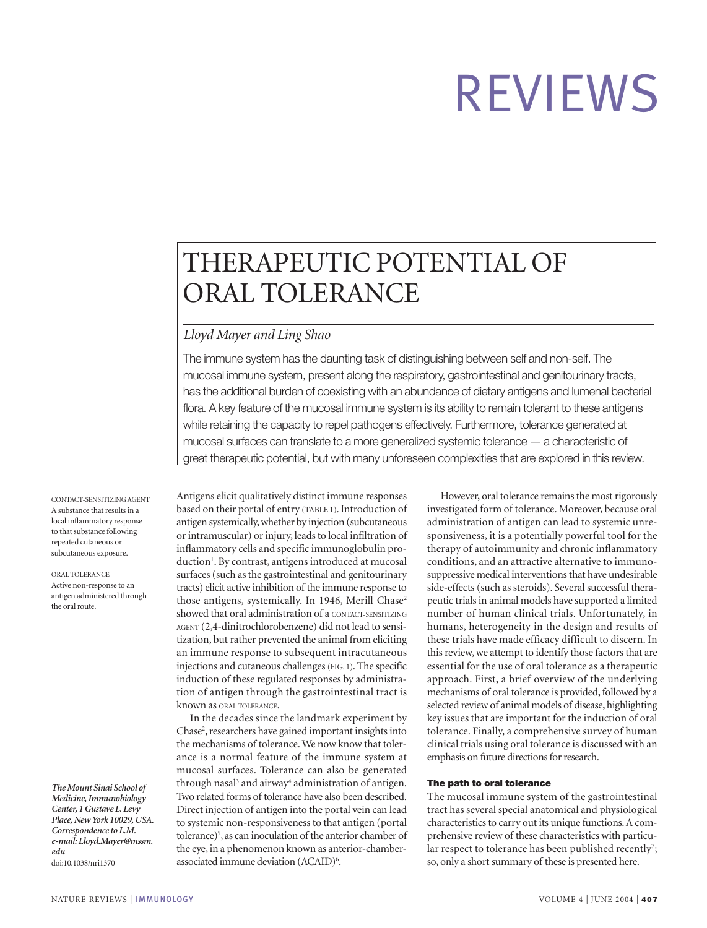# REVIEWS

# THERAPEUTIC POTENTIAL OF ORAL TOLERANCE

# *Lloyd Mayer and Ling Shao*

The immune system has the daunting task of distinguishing between self and non-self. The mucosal immune system, present along the respiratory, gastrointestinal and genitourinary tracts, has the additional burden of coexisting with an abundance of dietary antigens and lumenal bacterial flora. A key feature of the mucosal immune system is its ability to remain tolerant to these antigens while retaining the capacity to repel pathogens effectively. Furthermore, tolerance generated at mucosal surfaces can translate to a more generalized systemic tolerance — a characteristic of great therapeutic potential, but with many unforeseen complexities that are explored in this review.

CONTACT-SENSITIZING AGENT A substance that results in a local inflammatory response to that substance following repeated cutaneous or subcutaneous exposure.

ORAL TOLERANCE Active non-response to an antigen administered through the oral route.

*The Mount Sinai School of Medicine, Immunobiology Center, 1 Gustave L. Levy Place, New York 10029, USA. Correspondence to L.M. e-mail: Lloyd.Mayer@mssm. edu* doi:10.1038/nri1370

Antigens elicit qualitatively distinct immune responses based on their portal of entry (TABLE 1). Introduction of antigen systemically, whether by injection (subcutaneous or intramuscular) or injury, leads to local infiltration of inflammatory cells and specific immunoglobulin production<sup>1</sup>. By contrast, antigens introduced at mucosal surfaces (such as the gastrointestinal and genitourinary tracts) elicit active inhibition of the immune response to those antigens, systemically. In 1946, Merill Chase<sup>2</sup> showed that oral administration of a CONTACT-SENSITIZING AGENT (2,4-dinitrochlorobenzene) did not lead to sensitization, but rather prevented the animal from eliciting an immune response to subsequent intracutaneous injections and cutaneous challenges (FIG. 1). The specific induction of these regulated responses by administration of antigen through the gastrointestinal tract is known as ORAL TOLERANCE.

In the decades since the landmark experiment by Chase<sup>2</sup>, researchers have gained important insights into the mechanisms of tolerance. We now know that tolerance is a normal feature of the immune system at mucosal surfaces. Tolerance can also be generated through nasal<sup>3</sup> and airway<sup>4</sup> administration of antigen. Two related forms of tolerance have also been described. Direct injection of antigen into the portal vein can lead to systemic non-responsiveness to that antigen (portal tolerance)5 , as can inoculation of the anterior chamber of the eye, in a phenomenon known as anterior-chamberassociated immune deviation (ACAID)<sup>6</sup>.

However, oral tolerance remains the most rigorously investigated form of tolerance. Moreover, because oral administration of antigen can lead to systemic unresponsiveness, it is a potentially powerful tool for the therapy of autoimmunity and chronic inflammatory conditions, and an attractive alternative to immunosuppressive medical interventions that have undesirable side-effects (such as steroids). Several successful therapeutic trials in animal models have supported a limited number of human clinical trials. Unfortunately, in humans, heterogeneity in the design and results of these trials have made efficacy difficult to discern. In this review, we attempt to identify those factors that are essential for the use of oral tolerance as a therapeutic approach. First, a brief overview of the underlying mechanisms of oral tolerance is provided, followed by a selected review of animal models of disease, highlighting key issues that are important for the induction of oral tolerance. Finally, a comprehensive survey of human clinical trials using oral tolerance is discussed with an emphasis on future directions for research.

# **The path to oral tolerance**

The mucosal immune system of the gastrointestinal tract has several special anatomical and physiological characteristics to carry out its unique functions. A comprehensive review of these characteristics with particular respect to tolerance has been published recently<sup>7</sup>; so, only a short summary of these is presented here.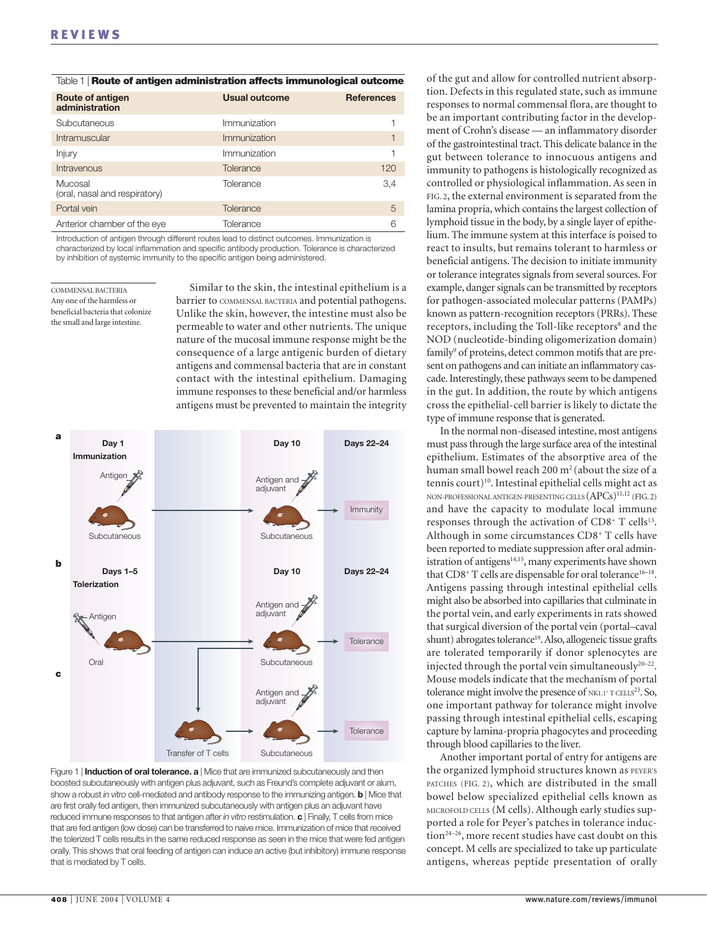|  |  |  | Table 1   Route of antigen administration affects immunological outcome |  |  |  |
|--|--|--|-------------------------------------------------------------------------|--|--|--|
|--|--|--|-------------------------------------------------------------------------|--|--|--|

| <b>Route of antigen</b><br>administration | Usual outcome    | <b>References</b> |
|-------------------------------------------|------------------|-------------------|
| Subcutaneous                              | Immunization     |                   |
| <b>Intramuscular</b>                      | Immunization     |                   |
| Injury                                    | Immunization     |                   |
| Intravenous                               | <b>Tolerance</b> | 120               |
| Mucosal<br>(oral, nasal and respiratory)  | Tolerance        | 3,4               |
| Portal vein                               | Tolerance        | 5                 |
| Anterior chamber of the eye               | Tolerance        | 6                 |

Introduction of antigen through different routes lead to distinct outcomes. Immunization is characterized by local inflammation and specific antibody production. Tolerance is characterized by inhibition of systemic immunity to the specific antigen being administered.

COMMENSAL BACTERIA Any one of the harmless or beneficial bacteria that colonize the small and large intestine.

Similar to the skin, the intestinal epithelium is a barrier to COMMENSAL BACTERIA and potential pathogens. Unlike the skin, however, the intestine must also be permeable to water and other nutrients. The unique nature of the mucosal immune response might be the consequence of a large antigenic burden of dietary antigens and commensal bacteria that are in constant contact with the intestinal epithelium. Damaging immune responses to these beneficial and/or harmless antigens must be prevented to maintain the integrity



Figure 1 | **Induction of oral tolerance. a** | Mice that are immunized subcutaneously and then boosted subcutaneously with antigen plus adjuvant, such as Freund's complete adjuvant or alum, show a robust *in vitro* cell-mediated and antibody response to the immunizing antigen. **b** | Mice that are first orally fed antigen, then immunized subcutaneously with antigen plus an adjuvant have reduced immune responses to that antigen after *in vitro* restimulation. **c** | Finally, T cells from mice that are fed antigen (low dose) can be transferred to naive mice. Immunization of mice that received the tolerized T cells results in the same reduced response as seen in the mice that were fed antigen orally. This shows that oral feeding of antigen can induce an active (but inhibitory) immune response that is mediated by T cells.

of the gut and allow for controlled nutrient absorption. Defects in this regulated state, such as immune responses to normal commensal flora, are thought to be an important contributing factor in the development of Crohn's disease — an inflammatory disorder of the gastrointestinal tract. This delicate balance in the gut between tolerance to innocuous antigens and immunity to pathogens is histologically recognized as controlled or physiological inflammation. As seen in FIG. 2, the external environment is separated from the lamina propria, which contains the largest collection of lymphoid tissue in the body, by a single layer of epithelium. The immune system at this interface is poised to react to insults, but remains tolerant to harmless or beneficial antigens. The decision to initiate immunity or tolerance integrates signals from several sources. For example, danger signals can be transmitted by receptors for pathogen-associated molecular patterns (PAMPs) known as pattern-recognition receptors (PRRs). These receptors, including the Toll-like receptors<sup>8</sup> and the NOD (nucleotide-binding oligomerization domain) family<sup>9</sup> of proteins, detect common motifs that are present on pathogens and can initiate an inflammatory cascade. Interestingly, these pathways seem to be dampened in the gut. In addition, the route by which antigens cross the epithelial-cell barrier is likely to dictate the type of immune response that is generated.

In the normal non-diseased intestine, most antigens must pass through the large surface area of the intestinal epithelium. Estimates of the absorptive area of the human small bowel reach  $200 \text{ m}^2$  (about the size of a tennis court)<sup>10</sup>. Intestinal epithelial cells might act as NON-PROFESSIONAL ANTIGEN-PRESENTING CELLS  $(APCs)^{11,12}$  (FIG. 2) and have the capacity to modulate local immune responses through the activation of  $CD8^+$  T cells<sup>13</sup>. Although in some circumstances CD8+ T cells have been reported to mediate suppression after oral administration of antigens<sup>14,15</sup>, many experiments have shown that CD8<sup>+</sup> T cells are dispensable for oral tolerance<sup>16-18</sup>. Antigens passing through intestinal epithelial cells might also be absorbed into capillaries that culminate in the portal vein, and early experiments in rats showed that surgical diversion of the portal vein (portal–caval shunt) abrogates tolerance<sup>19</sup>. Also, allogeneic tissue grafts are tolerated temporarily if donor splenocytes are injected through the portal vein simultaneously $20-22$ . Mouse models indicate that the mechanism of portal tolerance might involve the presence of  $NKL1+T$  CELLS<sup>23</sup>. So, one important pathway for tolerance might involve passing through intestinal epithelial cells, escaping capture by lamina-propria phagocytes and proceeding through blood capillaries to the liver.

Another important portal of entry for antigens are the organized lymphoid structures known as PEYER'S PATCHES (FIG. 2), which are distributed in the small bowel below specialized epithelial cells known as MICROFOLD CELLS (M cells). Although early studies supported a role for Peyer's patches in tolerance induction<sup>24–26</sup>, more recent studies have cast doubt on this concept. M cells are specialized to take up particulate antigens, whereas peptide presentation of orally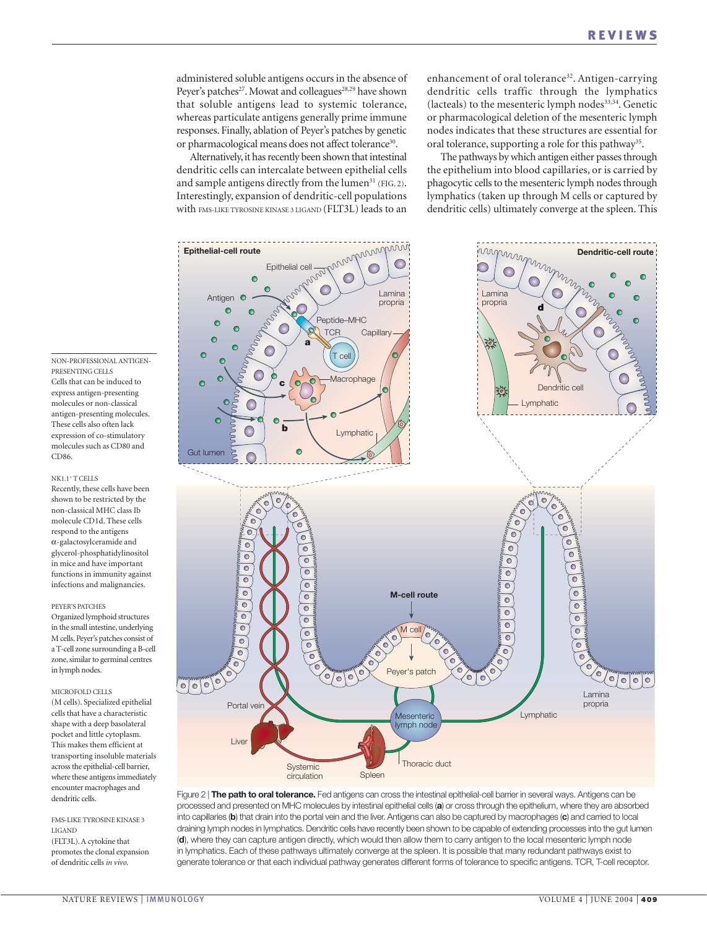administered soluble antigens occurs in the absence of Peyer's patches<sup>27</sup>. Mowat and colleagues<sup>28,29</sup> have shown that soluble antigens lead to systemic tolerance, whereas particulate antigens generally prime immune responses. Finally, ablation of Peyer's patches by genetic or pharmacological means does not affect tolerance<sup>30</sup>.

Alternatively, it has recently been shown that intestinal dendritic cells can intercalate between epithelial cells and sample antigens directly from the lumen<sup>31</sup> (FIG. 2). Interestingly, expansion of dendritic-cell populations with FMS-LIKE TYROSINE KINASE 3 LIGAND (FLT3L) leads to an enhancement of oral tolerance<sup>32</sup>. Antigen-carrying dendritic cells traffic through the lymphatics (lacteals) to the mesenteric lymph nodes $33,34$ . Genetic or pharmacological deletion of the mesenteric lymph nodes indicates that these structures are essential for oral tolerance, supporting a role for this pathway<sup>35</sup>.

The pathways by which antigen either passes through the epithelium into blood capillaries, or is carried by phagocytic cells to the mesenteric lymph nodes through lymphatics (taken up through M cells or captured by dendritic cells) ultimately converge at the spleen. This

**Epithelial-cell route Dendritic-cell route Dendritic-cell route** Epithelial cell <sub>0000000</sub>  $\subset$ Lamina **Lamina** Antigen C propria propria **d**  $\bullet$ Peptide–MHC  $\bullet$  $\bullet$ **TCR** Capillar Ò **a**  $\bullet$ T cell **Macrophage c** Dendritic cell Lymphatic  $\bullet$ **b** Lymphatic Ō Gut lumen  $\bullet$  $\overline{\bullet}$  $\overline{\bullet}$  $\overline{\circ}$  $\overline{\bullet}$  $\overline{\circ}$  $\bullet$ **M-cell route**  $\overline{\circ}$  $\circ$  $\overline{\bullet}$  $\overline{\circ}$  $|0|$  $\circ$  $\overline{\bullet}$  $\overline{\circ}$  $\overline{\circ}$ M cell  $\overline{\circ}$  $\overline{\circ}$  $\overline{\circ}$  $\overline{\bullet}$ Peyer's patch  $\delta$  $O/O$  $\bigcirc$  o o o  $\frac{1}{\frac{1}{\frac{1}{\sqrt{1}}}}$ Lamina propria Portal ve Lymphatic **Mesenteric** lymph node Liv Thoracic duct Systemic Spleen circulation

Figure 2 | **The path to oral tolerance.** Fed antigens can cross the intestinal epithelial-cell barrier in several ways. Antigens can be processed and presented on MHC molecules by intestinal epithelial cells (**a**) or cross through the epithelium, where they are absorbed into capillaries (**b**) that drain into the portal vein and the liver. Antigens can also be captured by macrophages (**c**) and carried to local draining lymph nodes in lymphatics. Dendritic cells have recently been shown to be capable of extending processes into the gut lumen (**d**), where they can capture antigen directly, which would then allow them to carry antigen to the local mesenteric lymph node in lymphatics. Each of these pathways ultimately converge at the spleen. It is possible that many redundant pathways exist to generate tolerance or that each individual pathway generates different forms of tolerance to specific antigens. TCR, T-cell receptor.

NON-PROFESSIONAL ANTIGEN-PRESENTING CELLS Cells that can be induced to express antigen-presenting molecules or non-classical antigen-presenting molecules. These cells also often lack expression of co-stimulatory molecules such as CD80 and CD86.

### NK1.1+ T CELLS

Recently, these cells have been shown to be restricted by the non-classical MHC class Ib molecule CD1d. These cells respond to the antigens α-galactosylceramide and glycerol-phosphatidylinositol in mice and have important functions in immunity against infections and malignancies.

#### PEYER'S PATCHES

Organized lymphoid structures in the small intestine, underlying M cells. Peyer's patches consist of a T-cell zone surrounding a B-cell zone, similar to germinal centres in lymph nodes.

#### MICROFOLD CELLS

(M cells). Specialized epithelial cells that have a characteristic shape with a deep basolateral pocket and little cytoplasm. This makes them efficient at transporting insoluble materials across the epithelial-cell barrier, where these antigens immediately encounter macrophages and dendritic cells.

#### FMS-LIKE TYROSINE KINASE 3 LIGAND (FLT3L). A cytokine that promotes the clonal expansion of dendritic cells *in vivo*.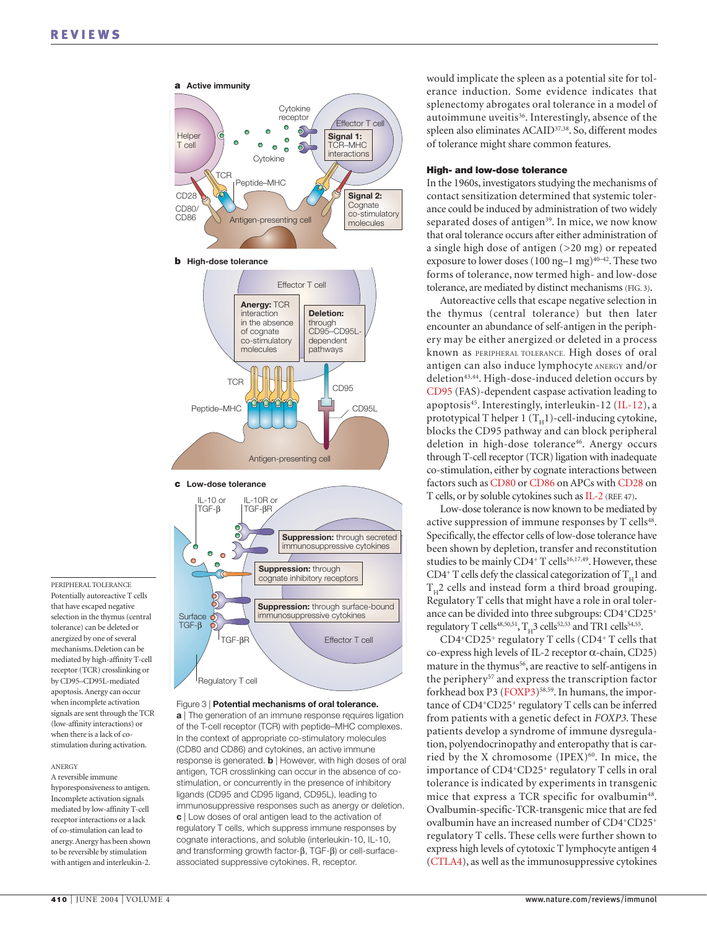

 $II - 10$  or TGF-β IL-10R or TGF-βR

> $\circ$   $\circ$  $\bullet$

PERIPHERAL TOLERANCE Potentially autoreactive T cells that have escaped negative selection in the thymus (central tolerance) can be deleted or anergized by one of several mechanisms. Deletion can be mediated by high-affinity T-cell receptor (TCR) crosslinking or by CD95–CD95L-mediated apoptosis. Anergy can occur when incomplete activation signals are sent through the TCR (low-affinity interactions) or when there is a lack of costimulation during activation.

#### ANERGY

A reversible immune hyporesponsiveness to antigen. Incomplete activation signals mediated by low-affinity T-cell receptor interactions or a lack of co-stimulation can lead to anergy. Anergy has been shown to be reversible by stimulation with antigen and interleukin-2.

TGF-βR cognate inhibitory receptors Regulatory T cell Effector T cell **Surface** TGF-β **Suppression:** through surface-bound immunosuppressive cytokines

**Suppression: through** 

**Suppression:** through secreted immunosuppressive cytokines

#### Figure 3 | **Potential mechanisms of oral tolerance.**

**|** of the T-cell receptor (TCR) with peptide–MHC complexes. **a** | The generation of an immune response requires ligation In the context of appropriate co-stimulatory molecules (CD80 and CD86) and cytokines, an active immune response is generated. **b** | However, with high doses of oral antigen, TCR crosslinking can occur in the absence of costimulation, or concurrently in the presence of inhibitory ligands (CD95 and CD95 ligand, CD95L), leading to immunosuppressive responses such as anergy or deletion. **c** | Low doses of oral antigen lead to the activation of regulatory T cells, which suppress immune responses by cognate interactions, and soluble (interleukin-10, IL-10, and transforming growth factor-β, TGF-β) or cell-surfaceassociated suppressive cytokines. R, receptor.

would implicate the spleen as a potential site for tolerance induction. Some evidence indicates that splenectomy abrogates oral tolerance in a model of autoimmune uveitis<sup>36</sup>. Interestingly, absence of the spleen also eliminates ACAID37,38. So, different modes of tolerance might share common features.

### **High- and low-dose tolerance**

In the 1960s, investigators studying the mechanisms of contact sensitization determined that systemic tolerance could be induced by administration of two widely separated doses of antigen<sup>39</sup>. In mice, we now know that oral tolerance occurs after either administration of a single high dose of antigen (>20 mg) or repeated exposure to lower doses  $(100 \text{ ng}-1 \text{ mg})^{40-42}$ . These two forms of tolerance, now termed high- and low-dose tolerance, are mediated by distinct mechanisms (FIG. 3).

Autoreactive cells that escape negative selection in the thymus (central tolerance) but then later encounter an abundance of self-antigen in the periphery may be either anergized or deleted in a process known as PERIPHERAL TOLERANCE. High doses of oral antigen can also induce lymphocyte ANERGY and/or deletion<sup>43,44</sup>. High-dose-induced deletion occurs by CD95 (FAS)-dependent caspase activation leading to apoptosis45. Interestingly, interleukin-12 (IL-12), a prototypical T helper 1 ( $T_H1$ )-cell-inducing cytokine, blocks the CD95 pathway and can block peripheral deletion in high-dose tolerance<sup>46</sup>. Anergy occurs through T-cell receptor (TCR) ligation with inadequate co-stimulation, either by cognate interactions between factors such as CD80 or CD86 on APCs with CD28 on T cells, or by soluble cytokines such as IL-2 (REF. 47).

Low-dose tolerance is now known to be mediated by active suppression of immune responses by T cells<sup>48</sup>. Specifically, the effector cells of low-dose tolerance have been shown by depletion, transfer and reconstitution studies to be mainly CD4+ T cells<sup>16,17,49</sup>. However, these CD4<sup>+</sup> T cells defy the classical categorization of  $T_H1$  and  $T<sub>u</sub>$ 2 cells and instead form a third broad grouping. Regulatory T cells that might have a role in oral tolerance can be divided into three subgroups: CD4+CD25+ regulatory T cells<sup>48,50,51</sup>,  $T_{1,3}$  cells<sup>52,53</sup> and TR1 cells<sup>54,55</sup>.

 $CD4+CD25+$  regulatory T cells ( $CD4+T$  cells that co-express high levels of IL-2 receptor α-chain, CD25) mature in the thymus<sup>56</sup>, are reactive to self-antigens in the periphery<sup>57</sup> and express the transcription factor forkhead box P3 (FOXP3)<sup>58,59</sup>. In humans, the importance of CD4+CD25+ regulatory T cells can be inferred from patients with a genetic defect in *FOXP3*. These patients develop a syndrome of immune dysregulation, polyendocrinopathy and enteropathy that is carried by the X chromosome  $(IPEX)^{60}$ . In mice, the importance of CD4+CD25+ regulatory T cells in oral tolerance is indicated by experiments in transgenic mice that express a TCR specific for ovalbumin<sup>48</sup>. Ovalbumin-specific-TCR-transgenic mice that are fed ovalbumin have an increased number of CD4+CD25+ regulatory T cells. These cells were further shown to express high levels of cytotoxic T lymphocyte antigen 4 (CTLA4), as well as the immunosuppressive cytokines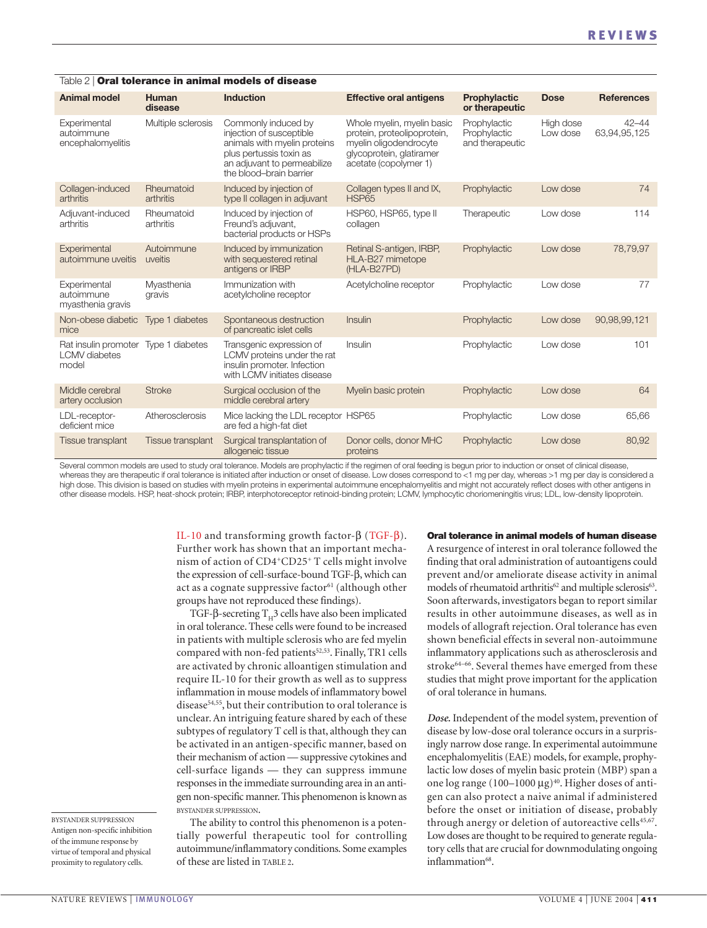| <b>Animal model</b>                                   | <b>Human</b><br>disease | <b>Induction</b>                                                                                                                                                     | <b>Effective oral antigens</b>                                                                                                           | Prophylactic<br>or therapeutic                  | <b>Dose</b>           | <b>References</b>         |
|-------------------------------------------------------|-------------------------|----------------------------------------------------------------------------------------------------------------------------------------------------------------------|------------------------------------------------------------------------------------------------------------------------------------------|-------------------------------------------------|-----------------------|---------------------------|
| Experimental<br>autoimmune<br>encephalomyelitis       | Multiple sclerosis      | Commonly induced by<br>injection of susceptible<br>animals with myelin proteins<br>plus pertussis toxin as<br>an adjuvant to permeabilize<br>the blood-brain barrier | Whole myelin, myelin basic<br>protein, proteolipoprotein,<br>myelin oligodendrocyte<br>glycoprotein, glatiramer<br>acetate (copolymer 1) | Prophylactic<br>Prophylactic<br>and therapeutic | High dose<br>Low dose | $42 - 44$<br>63,94,95,125 |
| Collagen-induced<br>arthritis                         | Rheumatoid<br>arthritis | Induced by injection of<br>type II collagen in adjuvant                                                                                                              | Collagen types II and IX,<br><b>HSP65</b>                                                                                                | Prophylactic                                    | Low dose              | 74                        |
| Adjuvant-induced<br>arthritis                         | Rheumatoid<br>arthritis | Induced by injection of<br>Freund's adjuvant,<br>bacterial products or HSPs                                                                                          | HSP60, HSP65, type II<br>collagen                                                                                                        | Therapeutic                                     | Low dose              | 114                       |
| Experimental<br>autoimmune uveitis                    | Autoimmune<br>uveitis   | Induced by immunization<br>with sequestered retinal<br>antigens or IRBP                                                                                              | Retinal S-antigen, IRBP,<br>HLA-B27 mimetope<br>(HLA-B27PD)                                                                              | Prophylactic                                    | Low dose              | 78,79,97                  |
| Experimental<br>autoimmune<br>myasthenia gravis       | Myasthenia<br>gravis    | Immunization with<br>acetylcholine receptor                                                                                                                          | Acetylcholine receptor                                                                                                                   | Prophylactic                                    | Low dose              | 77                        |
| Non-obese diabetic<br>mice                            | Type 1 diabetes         | Spontaneous destruction<br>of pancreatic islet cells                                                                                                                 | Insulin                                                                                                                                  | Prophylactic                                    | Low dose              | 90,98,99,121              |
| Rat insulin promoter<br><b>LCMV</b> diabetes<br>model | Type 1 diabetes         | Transgenic expression of<br>LCMV proteins under the rat<br>insulin promoter. Infection<br>with LCMV initiates disease                                                | Insulin                                                                                                                                  | Prophylactic                                    | Low dose              | 101                       |
| Middle cerebral<br>artery occlusion                   | <b>Stroke</b>           | Surgical occlusion of the<br>middle cerebral artery                                                                                                                  | Myelin basic protein                                                                                                                     | Prophylactic                                    | Low dose              | 64                        |
| LDL-receptor-<br>deficient mice                       | Atherosclerosis         | Mice lacking the LDL receptor HSP65<br>are fed a high-fat diet                                                                                                       |                                                                                                                                          | Prophylactic                                    | Low dose              | 65,66                     |
| <b>Tissue transplant</b>                              | Tissue transplant       | Surgical transplantation of<br>allogeneic tissue                                                                                                                     | Donor cells, donor MHC<br>proteins                                                                                                       | Prophylactic                                    | Low dose              | 80,92                     |

Several common models are used to study oral tolerance. Models are prophylactic if the regimen of oral feeding is begun prior to induction or onset of clinical disease, whereas they are therapeutic if oral tolerance is initiated after induction or onset of disease. Low doses correspond to <1 mg per day, whereas >1 mg per day is considered a high dose. This division is based on studies with myelin proteins in experimental autoimmune encephalomyelitis and might not accurately reflect doses with other antigens in other disease models. HSP, heat-shock protein; IRBP, interphotoreceptor retinoid-binding protein; LCMV, lymphocytic choriomeningitis virus; LDL, low-density lipoprotein.

> IL-10 and transforming growth factor- $β$  (TGF- $β$ ). Further work has shown that an important mechanism of action of CD4+CD25+ T cells might involve the expression of cell-surface-bound TGF-β, which can act as a cognate suppressive factor<sup>61</sup> (although other groups have not reproduced these findings).

Table 2 | **Oral tolerance in animal models of disease**

TGF-β-secreting  $T<sub>H</sub>$ 3 cells have also been implicated in oral tolerance. These cells were found to be increased in patients with multiple sclerosis who are fed myelin compared with non-fed patients<sup>52,53</sup>. Finally, TR1 cells are activated by chronic alloantigen stimulation and require IL-10 for their growth as well as to suppress inflammation in mouse models of inflammatory bowel disease<sup>54,55</sup>, but their contribution to oral tolerance is unclear. An intriguing feature shared by each of these subtypes of regulatory T cell is that, although they can be activated in an antigen-specific manner, based on their mechanism of action — suppressive cytokines and cell-surface ligands — they can suppress immune responses in the immediate surrounding area in an antigen non-specific manner. This phenomenon is known as BYSTANDER SUPPRESSION.

BYSTANDER SUPPRESSION Antigen non-specific inhibition of the immune response by virtue of temporal and physical proximity to regulatory cells.

The ability to control this phenomenon is a potentially powerful therapeutic tool for controlling autoimmune/inflammatory conditions. Some examples of these are listed in TABLE 2.

**Oral tolerance in animal models of human disease** A resurgence of interest in oral tolerance followed the finding that oral administration of autoantigens could prevent and/or ameliorate disease activity in animal models of rheumatoid arthritis<sup>62</sup> and multiple sclerosis<sup>63</sup>. Soon afterwards, investigators began to report similar results in other autoimmune diseases, as well as in models of allograft rejection. Oral tolerance has even shown beneficial effects in several non-autoimmune inflammatory applications such as atherosclerosis and stroke<sup>64–66</sup>. Several themes have emerged from these studies that might prove important for the application of oral tolerance in humans.

*Dose.* Independent of the model system, prevention of disease by low-dose oral tolerance occurs in a surprisingly narrow dose range. In experimental autoimmune encephalomyelitis (EAE) models, for example, prophylactic low doses of myelin basic protein (MBP) span a one log range (100–1000 µg)40. Higher doses of antigen can also protect a naive animal if administered before the onset or initiation of disease, probably through anergy or deletion of autoreactive cells<sup>45,67</sup>. Low doses are thought to be required to generate regulatory cells that are crucial for downmodulating ongoing inflammation<sup>68</sup>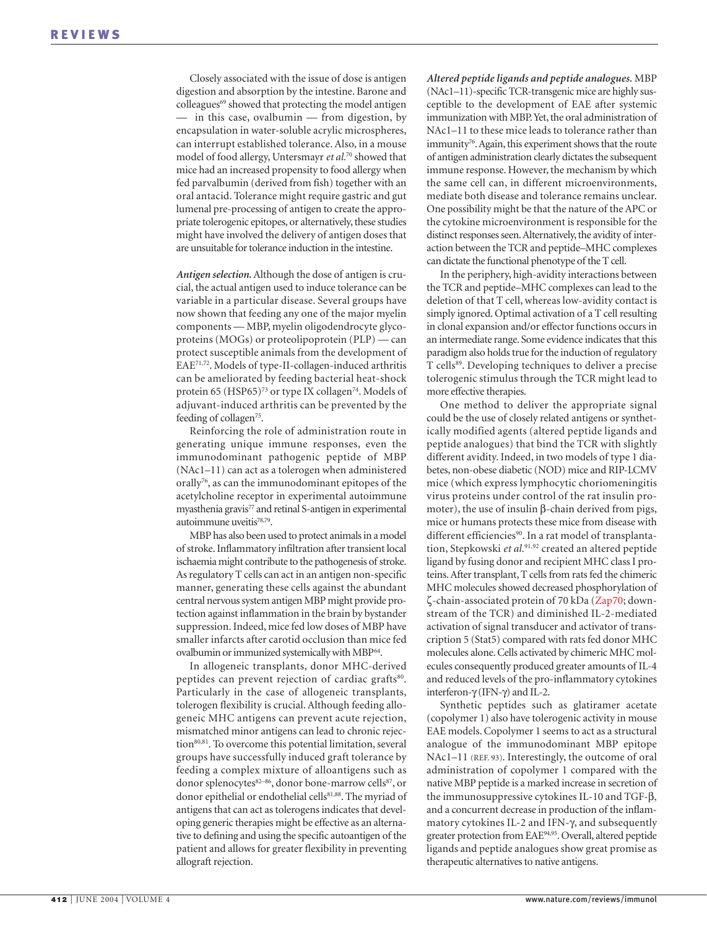Closely associated with the issue of dose is antigen digestion and absorption by the intestine. Barone and colleagues<sup>69</sup> showed that protecting the model antigen — in this case, ovalbumin — from digestion, by encapsulation in water-soluble acrylic microspheres, can interrupt established tolerance. Also, in a mouse model of food allergy, Untersmayr *et al.*<sup>70</sup> showed that mice had an increased propensity to food allergy when fed parvalbumin (derived from fish) together with an oral antacid. Tolerance might require gastric and gut lumenal pre-processing of antigen to create the appropriate tolerogenic epitopes, or alternatively, these studies might have involved the delivery of antigen doses that are unsuitable for tolerance induction in the intestine.

*Antigen selection.* Although the dose of antigen is crucial, the actual antigen used to induce tolerance can be variable in a particular disease. Several groups have now shown that feeding any one of the major myelin components — MBP, myelin oligodendrocyte glycoproteins (MOGs) or proteolipoprotein (PLP) — can protect susceptible animals from the development of EAE71,72. Models of type-II-collagen-induced arthritis can be ameliorated by feeding bacterial heat-shock protein 65 (HSP65)<sup>73</sup> or type IX collagen<sup>74</sup>. Models of adjuvant-induced arthritis can be prevented by the feeding of collagen<sup>75</sup>.

Reinforcing the role of administration route in generating unique immune responses, even the immunodominant pathogenic peptide of MBP (NAc1–11) can act as a tolerogen when administered orally76, as can the immunodominant epitopes of the acetylcholine receptor in experimental autoimmune myasthenia gravis<sup>77</sup> and retinal S-antigen in experimental autoimmune uveitis<sup>78,79</sup>.

MBP has also been used to protect animals in a model of stroke. Inflammatory infiltration after transient local ischaemia might contribute to the pathogenesis of stroke. As regulatory T cells can act in an antigen non-specific manner, generating these cells against the abundant central nervous system antigen MBP might provide protection against inflammation in the brain by bystander suppression. Indeed, mice fed low doses of MBP have smaller infarcts after carotid occlusion than mice fed ovalbumin or immunized systemically with MBP<sup>64</sup>.

In allogeneic transplants, donor MHC-derived peptides can prevent rejection of cardiac grafts<sup>80</sup>. Particularly in the case of allogeneic transplants, tolerogen flexibility is crucial. Although feeding allogeneic MHC antigens can prevent acute rejection, mismatched minor antigens can lead to chronic rejection<sup>80,81</sup>. To overcome this potential limitation, several groups have successfully induced graft tolerance by feeding a complex mixture of alloantigens such as donor splenocytes82-86, donor bone-marrow cells87, or donor epithelial or endothelial cells81,88. The myriad of antigens that can act as tolerogens indicates that developing generic therapies might be effective as an alternative to defining and using the specific autoantigen of the patient and allows for greater flexibility in preventing allograft rejection.

*Altered peptide ligands and peptide analogues.* MBP (NAc1–11)-specific TCR-transgenic mice are highly susceptible to the development of EAE after systemic immunization with MBP.Yet, the oral administration of NAc1–11 to these mice leads to tolerance rather than immunity<sup>76</sup>. Again, this experiment shows that the route of antigen administration clearly dictates the subsequent immune response. However, the mechanism by which the same cell can, in different microenvironments, mediate both disease and tolerance remains unclear. One possibility might be that the nature of the APC or the cytokine microenvironment is responsible for the distinct responses seen.Alternatively, the avidity of interaction between the TCR and peptide–MHC complexes can dictate the functional phenotype of the T cell.

In the periphery, high-avidity interactions between the TCR and peptide–MHC complexes can lead to the deletion of that T cell, whereas low-avidity contact is simply ignored. Optimal activation of a T cell resulting in clonal expansion and/or effector functions occurs in an intermediate range. Some evidence indicates that this paradigm also holds true for the induction of regulatory T cells<sup>89</sup>. Developing techniques to deliver a precise tolerogenic stimulus through the TCR might lead to more effective therapies.

One method to deliver the appropriate signal could be the use of closely related antigens or synthetically modified agents (altered peptide ligands and peptide analogues) that bind the TCR with slightly different avidity. Indeed, in two models of type 1 diabetes, non-obese diabetic (NOD) mice and RIP-LCMV mice (which express lymphocytic choriomeningitis virus proteins under control of the rat insulin promoter), the use of insulin β-chain derived from pigs, mice or humans protects these mice from disease with different efficiencies<sup>90</sup>. In a rat model of transplantation, Stepkowski *et al.*91,92 created an altered peptide ligand by fusing donor and recipient MHC class I proteins. After transplant, T cells from rats fed the chimeric MHC molecules showed decreased phosphorylation of ζ-chain-associated protein of 70 kDa (Zap70; downstream of the TCR) and diminished IL-2-mediated activation of signal transducer and activator of transcription 5 (Stat5) compared with rats fed donor MHC molecules alone. Cells activated by chimeric MHC molecules consequently produced greater amounts of IL-4 and reduced levels of the pro-inflammatory cytokines interferon-γ (IFN-γ) and IL-2.

Synthetic peptides such as glatiramer acetate (copolymer 1) also have tolerogenic activity in mouse EAE models. Copolymer 1 seems to act as a structural analogue of the immunodominant MBP epitope NAc1–11 (REF. 93). Interestingly, the outcome of oral administration of copolymer 1 compared with the native MBP peptide is a marked increase in secretion of the immunosuppressive cytokines IL-10 and TGF-β, and a concurrent decrease in production of the inflammatory cytokines IL-2 and IFN-γ, and subsequently greater protection from EAE94,95. Overall, altered peptide ligands and peptide analogues show great promise as therapeutic alternatives to native antigens.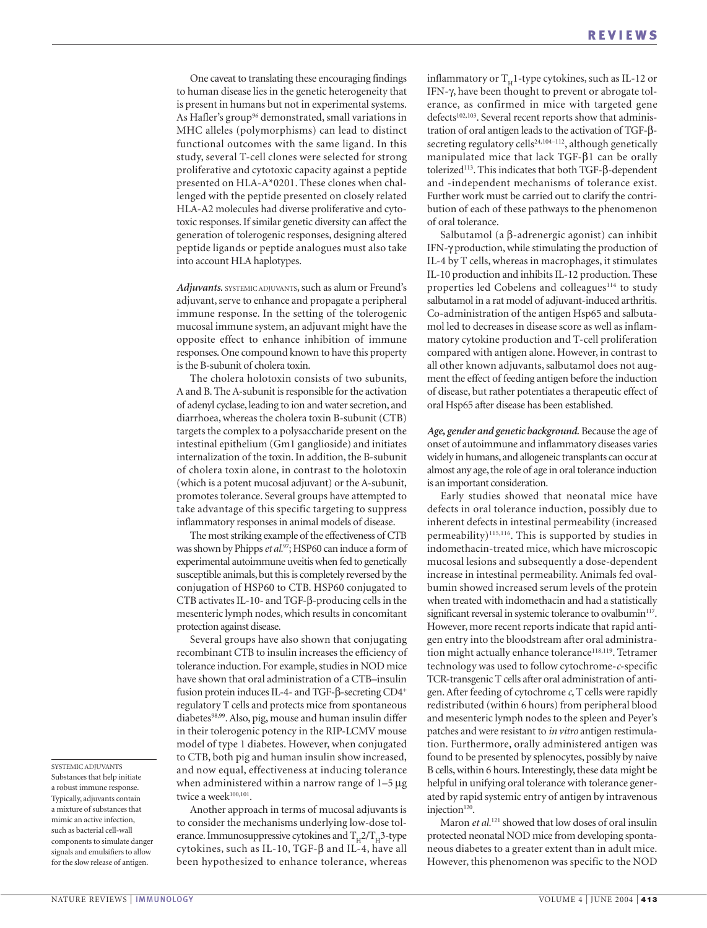One caveat to translating these encouraging findings to human disease lies in the genetic heterogeneity that is present in humans but not in experimental systems. As Hafler's group<sup>96</sup> demonstrated, small variations in MHC alleles (polymorphisms) can lead to distinct functional outcomes with the same ligand. In this study, several T-cell clones were selected for strong proliferative and cytotoxic capacity against a peptide presented on HLA-A\*0201. These clones when challenged with the peptide presented on closely related HLA-A2 molecules had diverse proliferative and cytotoxic responses. If similar genetic diversity can affect the generation of tolerogenic responses, designing altered peptide ligands or peptide analogues must also take into account HLA haplotypes.

Adjuvants. SYSTEMIC ADJUVANTS, such as alum or Freund's adjuvant, serve to enhance and propagate a peripheral immune response. In the setting of the tolerogenic mucosal immune system, an adjuvant might have the opposite effect to enhance inhibition of immune responses. One compound known to have this property is the B-subunit of cholera toxin.

The cholera holotoxin consists of two subunits, A and B. The A-subunit is responsible for the activation of adenyl cyclase, leading to ion and water secretion, and diarrhoea, whereas the cholera toxin B-subunit (CTB) targets the complex to a polysaccharide present on the intestinal epithelium (Gm1 ganglioside) and initiates internalization of the toxin. In addition, the B-subunit of cholera toxin alone, in contrast to the holotoxin (which is a potent mucosal adjuvant) or the A-subunit, promotes tolerance. Several groups have attempted to take advantage of this specific targeting to suppress inflammatory responses in animal models of disease.

The most striking example of the effectiveness of CTB was shown by Phipps et al.<sup>97</sup>; HSP60 can induce a form of experimental autoimmune uveitis when fed to genetically susceptible animals, but this is completely reversed by the conjugation of HSP60 to CTB. HSP60 conjugated to CTB activates IL-10- and TGF-β-producing cells in the mesenteric lymph nodes, which results in concomitant protection against disease.

Several groups have also shown that conjugating recombinant CTB to insulin increases the efficiency of tolerance induction. For example, studies in NOD mice have shown that oral administration of a CTB–insulin fusion protein induces IL-4- and TGF-β-secreting CD4+ regulatory T cells and protects mice from spontaneous diabetes<sup>98,99</sup>. Also, pig, mouse and human insulin differ in their tolerogenic potency in the RIP-LCMV mouse model of type 1 diabetes. However, when conjugated to CTB, both pig and human insulin show increased, and now equal, effectiveness at inducing tolerance when administered within a narrow range of  $1-5 \mu$ g twice a week<sup>100,101</sup>.

Another approach in terms of mucosal adjuvants is to consider the mechanisms underlying low-dose tolerance. Immunosuppressive cytokines and  $T_H 2/T_H 3$ -type cytokines, such as IL-10, TGF-β and IL-4, have all been hypothesized to enhance tolerance, whereas inflammatory or  $T_H$ 1-type cytokines, such as IL-12 or IFN-γ, have been thought to prevent or abrogate tolerance, as confirmed in mice with targeted gene defects<sup>102,103</sup>. Several recent reports show that administration of oral antigen leads to the activation of TGF-βsecreting regulatory cells<sup>24,104–112</sup>, although genetically manipulated mice that lack TGF-β1 can be orally tolerized<sup>113</sup>. This indicates that both TGF-β-dependent and -independent mechanisms of tolerance exist. Further work must be carried out to clarify the contribution of each of these pathways to the phenomenon of oral tolerance.

Salbutamol (a β-adrenergic agonist) can inhibit IFN-γ production, while stimulating the production of IL-4 by T cells, whereas in macrophages, it stimulates IL-10 production and inhibits IL-12 production. These properties led Cobelens and colleagues<sup>114</sup> to study salbutamol in a rat model of adjuvant-induced arthritis. Co-administration of the antigen Hsp65 and salbutamol led to decreases in disease score as well as inflammatory cytokine production and T-cell proliferation compared with antigen alone. However, in contrast to all other known adjuvants, salbutamol does not augment the effect of feeding antigen before the induction of disease, but rather potentiates a therapeutic effect of oral Hsp65 after disease has been established.

*Age, gender and genetic background.* Because the age of onset of autoimmune and inflammatory diseases varies widely in humans, and allogeneic transplants can occur at almost any age, the role of age in oral tolerance induction is an important consideration.

Early studies showed that neonatal mice have defects in oral tolerance induction, possibly due to inherent defects in intestinal permeability (increased permeability)<sup>115,116</sup>. This is supported by studies in indomethacin-treated mice, which have microscopic mucosal lesions and subsequently a dose-dependent increase in intestinal permeability. Animals fed ovalbumin showed increased serum levels of the protein when treated with indomethacin and had a statistically significant reversal in systemic tolerance to ovalbumin<sup>117</sup>. However, more recent reports indicate that rapid antigen entry into the bloodstream after oral administration might actually enhance tolerance<sup>118,119</sup>. Tetramer technology was used to follow cytochrome-*c*-specific TCR-transgenic T cells after oral administration of antigen. After feeding of cytochrome *c*, T cells were rapidly redistributed (within 6 hours) from peripheral blood and mesenteric lymph nodes to the spleen and Peyer's patches and were resistant to *in vitro* antigen restimulation. Furthermore, orally administered antigen was found to be presented by splenocytes, possibly by naive B cells, within 6 hours. Interestingly, these data might be helpful in unifying oral tolerance with tolerance generated by rapid systemic entry of antigen by intravenous injection<sup>120</sup>.

Maron *et al.*<sup>121</sup> showed that low doses of oral insulin protected neonatal NOD mice from developing spontaneous diabetes to a greater extent than in adult mice. However, this phenomenon was specific to the NOD

SYSTEMIC ADJUVANTS Substances that help initiate a robust immune response. Typically, adjuvants contain a mixture of substances that mimic an active infection, such as bacterial cell-wall components to simulate danger signals and emulsifiers to allow for the slow release of antigen.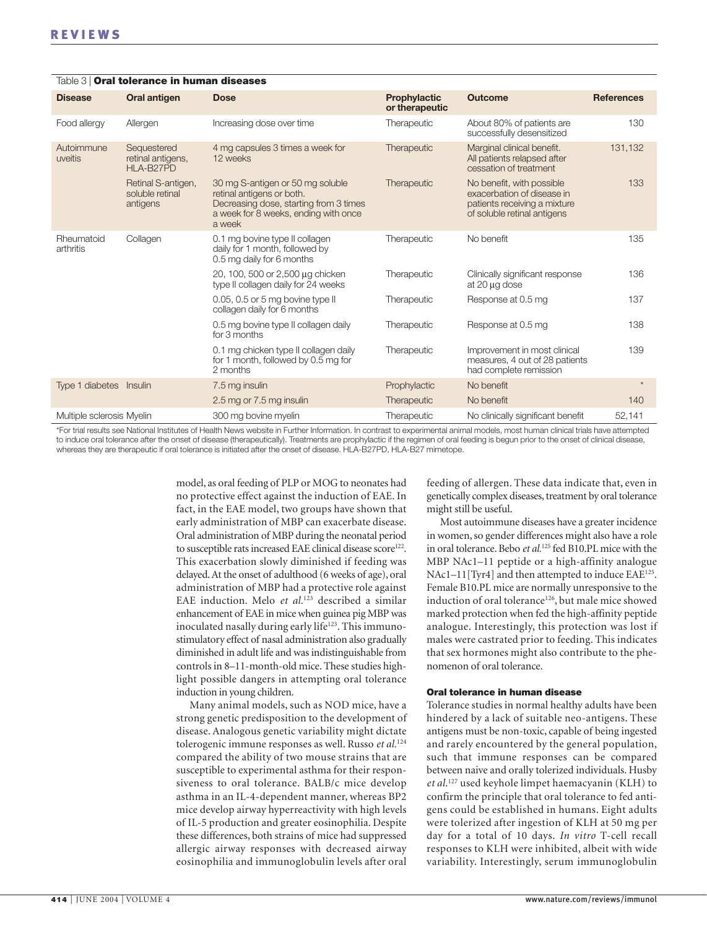| Table 3   Oral tolerance in human diseases |                                                   |                                                                                                                                                           |                                |                                                                                                                        |                   |  |  |
|--------------------------------------------|---------------------------------------------------|-----------------------------------------------------------------------------------------------------------------------------------------------------------|--------------------------------|------------------------------------------------------------------------------------------------------------------------|-------------------|--|--|
| <b>Disease</b>                             | Oral antigen                                      | <b>Dose</b>                                                                                                                                               | Prophylactic<br>or therapeutic | <b>Outcome</b>                                                                                                         | <b>References</b> |  |  |
| Food allergy                               | Allergen                                          | Increasing dose over time                                                                                                                                 | Therapeutic                    | About 80% of patients are<br>successfully desensitized                                                                 | 130               |  |  |
| Autoimmune<br>uveitis                      | Sequestered<br>retinal antigens,<br>HLA-B27PD     | 4 mg capsules 3 times a week for<br>12 weeks                                                                                                              | Therapeutic                    | Marginal clinical benefit.<br>All patients relapsed after<br>cessation of treatment                                    | 131,132           |  |  |
|                                            | Retinal S-antigen,<br>soluble retinal<br>antigens | 30 mg S-antigen or 50 mg soluble<br>retinal antigens or both.<br>Decreasing dose, starting from 3 times<br>a week for 8 weeks, ending with once<br>a week | Therapeutic                    | No benefit, with possible<br>exacerbation of disease in<br>patients receiving a mixture<br>of soluble retinal antigens | 133               |  |  |
| Rheumatoid<br>arthritis                    | Collagen                                          | 0.1 mg bovine type II collagen<br>daily for 1 month, followed by<br>0.5 mg daily for 6 months                                                             | Therapeutic                    | No benefit                                                                                                             | 135               |  |  |
|                                            |                                                   | 20, 100, 500 or 2,500 µg chicken<br>type II collagen daily for 24 weeks                                                                                   | Therapeutic                    | Clinically significant response<br>at 20 µg dose                                                                       | 136               |  |  |
|                                            |                                                   | 0.05, 0.5 or 5 mg bovine type II<br>collagen daily for 6 months                                                                                           | Therapeutic                    | Response at 0.5 mg                                                                                                     | 137               |  |  |
|                                            |                                                   | 0.5 mg bovine type II collagen daily<br>for 3 months                                                                                                      | Therapeutic                    | Response at 0.5 mg                                                                                                     | 138               |  |  |
|                                            |                                                   | 0.1 mg chicken type II collagen daily<br>for 1 month, followed by 0.5 mg for<br>2 months                                                                  | Therapeutic                    | Improvement in most clinical<br>measures, 4 out of 28 patients<br>had complete remission                               | 139               |  |  |
| Type 1 diabetes Insulin                    |                                                   | 7.5 mg insulin                                                                                                                                            | Prophylactic                   | No benefit                                                                                                             | $\star$           |  |  |
|                                            |                                                   | 2.5 mg or 7.5 mg insulin                                                                                                                                  | Therapeutic                    | No benefit                                                                                                             | 140               |  |  |
| Multiple sclerosis Myelin                  |                                                   | 300 mg bovine myelin                                                                                                                                      | Therapeutic                    | No clinically significant benefit                                                                                      | 52,141            |  |  |

\*For trial results see National Institutes of Health News website in Further Information. In contrast to experimental animal models, most human clinical trials have attempted to induce oral tolerance after the onset of disease (therapeutically). Treatments are prophylactic if the regimen of oral feeding is begun prior to the onset of clinical disease, whereas they are therapeutic if oral tolerance is initiated after the onset of disease. HLA-B27PD, HLA-B27 mimetope.

> model, as oral feeding of PLP or MOG to neonates had no protective effect against the induction of EAE. In fact, in the EAE model, two groups have shown that early administration of MBP can exacerbate disease. Oral administration of MBP during the neonatal period to susceptible rats increased EAE clinical disease score<sup>122</sup>. This exacerbation slowly diminished if feeding was delayed. At the onset of adulthood (6 weeks of age), oral administration of MBP had a protective role against EAE induction. Melo et al.<sup>123</sup> described a similar enhancement of EAE in mice when guinea pig MBP was inoculated nasally during early life<sup>123</sup>. This immunostimulatory effect of nasal administration also gradually diminished in adult life and was indistinguishable from controls in 8–11-month-old mice. These studies highlight possible dangers in attempting oral tolerance induction in young children.

> Many animal models, such as NOD mice, have a strong genetic predisposition to the development of disease. Analogous genetic variability might dictate tolerogenic immune responses as well. Russo *et al.*<sup>124</sup> compared the ability of two mouse strains that are susceptible to experimental asthma for their responsiveness to oral tolerance. BALB/c mice develop asthma in an IL-4-dependent manner, whereas BP2 mice develop airway hyperreactivity with high levels of IL-5 production and greater eosinophilia. Despite these differences, both strains of mice had suppressed allergic airway responses with decreased airway eosinophilia and immunoglobulin levels after oral

feeding of allergen. These data indicate that, even in genetically complex diseases, treatment by oral tolerance might still be useful.

Most autoimmune diseases have a greater incidence in women, so gender differences might also have a role in oral tolerance. Bebo *et al.*<sup>125</sup> fed B10.PL mice with the MBP NAc1–11 peptide or a high-affinity analogue NAc1-11[Tyr4] and then attempted to induce EAE<sup>125</sup>. Female B10.PL mice are normally unresponsive to the induction of oral tolerance<sup>126</sup>, but male mice showed marked protection when fed the high-affinity peptide analogue. Interestingly, this protection was lost if males were castrated prior to feeding. This indicates that sex hormones might also contribute to the phenomenon of oral tolerance.

# **Oral tolerance in human disease**

Tolerance studies in normal healthy adults have been hindered by a lack of suitable neo-antigens. These antigens must be non-toxic, capable of being ingested and rarely encountered by the general population, such that immune responses can be compared between naive and orally tolerized individuals. Husby *et al.*<sup>127</sup> used keyhole limpet haemacyanin (KLH) to confirm the principle that oral tolerance to fed antigens could be established in humans. Eight adults were tolerized after ingestion of KLH at 50 mg per day for a total of 10 days. *In vitro* T-cell recall responses to KLH were inhibited, albeit with wide variability. Interestingly, serum immunoglobulin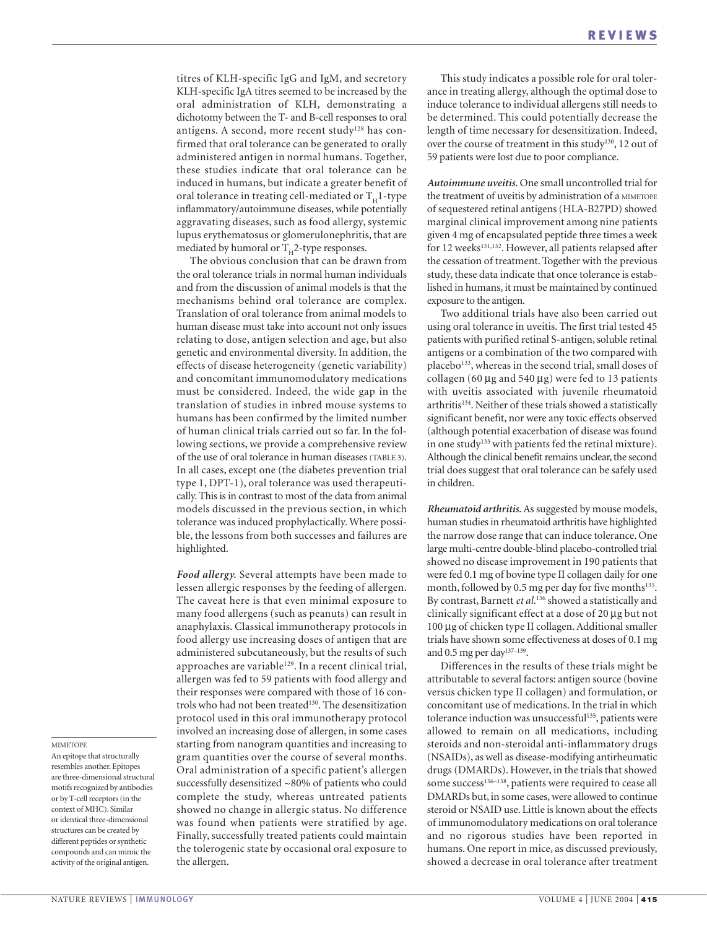titres of KLH-specific IgG and IgM, and secretory KLH-specific IgA titres seemed to be increased by the oral administration of KLH, demonstrating a dichotomy between the T- and B-cell responses to oral antigens. A second, more recent study<sup>128</sup> has confirmed that oral tolerance can be generated to orally administered antigen in normal humans. Together, these studies indicate that oral tolerance can be induced in humans, but indicate a greater benefit of oral tolerance in treating cell-mediated or  $T_H$ 1-type inflammatory/autoimmune diseases, while potentially aggravating diseases, such as food allergy, systemic lupus erythematosus or glomerulonephritis, that are mediated by humoral or  $T_H$ 2-type responses.

The obvious conclusion that can be drawn from the oral tolerance trials in normal human individuals and from the discussion of animal models is that the mechanisms behind oral tolerance are complex. Translation of oral tolerance from animal models to human disease must take into account not only issues relating to dose, antigen selection and age, but also genetic and environmental diversity. In addition, the effects of disease heterogeneity (genetic variability) and concomitant immunomodulatory medications must be considered. Indeed, the wide gap in the translation of studies in inbred mouse systems to humans has been confirmed by the limited number of human clinical trials carried out so far. In the following sections, we provide a comprehensive review of the use of oral tolerance in human diseases (TABLE 3). In all cases, except one (the diabetes prevention trial type 1, DPT-1), oral tolerance was used therapeutically. This is in contrast to most of the data from animal models discussed in the previous section, in which tolerance was induced prophylactically. Where possible, the lessons from both successes and failures are highlighted.

*Food allergy.* Several attempts have been made to lessen allergic responses by the feeding of allergen. The caveat here is that even minimal exposure to many food allergens (such as peanuts) can result in anaphylaxis. Classical immunotherapy protocols in food allergy use increasing doses of antigen that are administered subcutaneously, but the results of such approaches are variable<sup>129</sup>. In a recent clinical trial, allergen was fed to 59 patients with food allergy and their responses were compared with those of 16 controls who had not been treated<sup>130</sup>. The desensitization protocol used in this oral immunotherapy protocol involved an increasing dose of allergen, in some cases starting from nanogram quantities and increasing to gram quantities over the course of several months. Oral administration of a specific patient's allergen successfully desensitized ~80% of patients who could complete the study, whereas untreated patients showed no change in allergic status. No difference was found when patients were stratified by age. Finally, successfully treated patients could maintain the tolerogenic state by occasional oral exposure to the allergen.

This study indicates a possible role for oral tolerance in treating allergy, although the optimal dose to induce tolerance to individual allergens still needs to be determined. This could potentially decrease the length of time necessary for desensitization. Indeed, over the course of treatment in this study<sup>130</sup>, 12 out of 59 patients were lost due to poor compliance.

*Autoimmune uveitis.* One small uncontrolled trial for the treatment of uveitis by administration of a MIMETOPE of sequestered retinal antigens (HLA-B27PD) showed marginal clinical improvement among nine patients given 4 mg of encapsulated peptide three times a week for 12 weeks<sup>131,132</sup>. However, all patients relapsed after the cessation of treatment. Together with the previous study, these data indicate that once tolerance is established in humans, it must be maintained by continued exposure to the antigen.

Two additional trials have also been carried out using oral tolerance in uveitis. The first trial tested 45 patients with purified retinal S-antigen, soluble retinal antigens or a combination of the two compared with placebo<sup>133</sup>, whereas in the second trial, small doses of collagen (60  $\mu$ g and 540  $\mu$ g) were fed to 13 patients with uveitis associated with juvenile rheumatoid arthritis<sup>134</sup>. Neither of these trials showed a statistically significant benefit, nor were any toxic effects observed (although potential exacerbation of disease was found in one study133 with patients fed the retinal mixture). Although the clinical benefit remains unclear, the second trial does suggest that oral tolerance can be safely used in children.

*Rheumatoid arthritis.* As suggested by mouse models, human studies in rheumatoid arthritis have highlighted the narrow dose range that can induce tolerance. One large multi-centre double-blind placebo-controlled trial showed no disease improvement in 190 patients that were fed 0.1 mg of bovine type II collagen daily for one month, followed by 0.5 mg per day for five months<sup>135</sup>. By contrast, Barnett *et al.*<sup>136</sup> showed a statistically and clinically significant effect at a dose of 20 µg but not 100 µg of chicken type II collagen. Additional smaller trials have shown some effectiveness at doses of 0.1 mg and 0.5 mg per day<sup>137-139</sup>.

Differences in the results of these trials might be attributable to several factors: antigen source (bovine versus chicken type II collagen) and formulation, or concomitant use of medications. In the trial in which tolerance induction was unsuccessful<sup>135</sup>, patients were allowed to remain on all medications, including steroids and non-steroidal anti-inflammatory drugs (NSAIDs), as well as disease-modifying antirheumatic drugs (DMARDs). However, in the trials that showed some success<sup>136-138</sup>, patients were required to cease all DMARDs but, in some cases, were allowed to continue steroid or NSAID use. Little is known about the effects of immunomodulatory medications on oral tolerance and no rigorous studies have been reported in humans. One report in mice, as discussed previously, showed a decrease in oral tolerance after treatment

MIMETOPE

An epitope that structurally resembles another. Epitopes are three-dimensional structural motifs recognized by antibodies or by T-cell receptors (in the context of MHC). Similar or identical three-dimensional structures can be created by different peptides or synthetic compounds and can mimic the activity of the original antigen.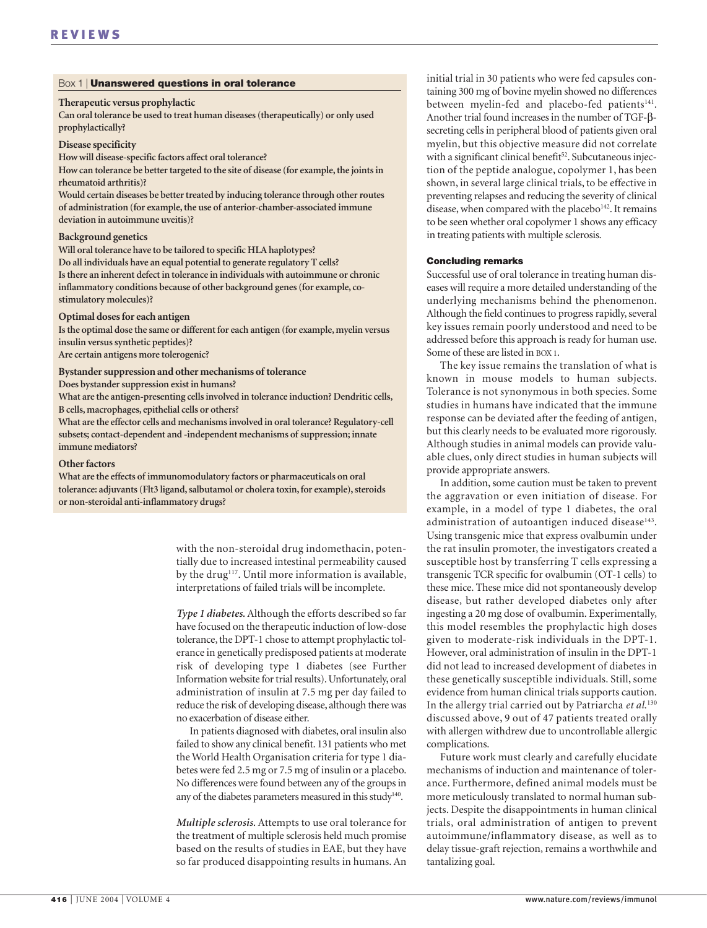# Box 1 | **Unanswered questions in oral tolerance**

# **Therapeutic versus prophylactic**

**Can oral tolerance be used to treat human diseases (therapeutically) or only used prophylactically?**

# **Disease specificity**

**How will disease-specific factors affect oral tolerance?**

**How can tolerance be better targeted to the site of disease (for example, the joints in rheumatoid arthritis)?**

**Would certain diseases be better treated by inducing tolerance through other routes of administration (for example, the use of anterior-chamber-associated immune deviation in autoimmune uveitis)?**

# **Background genetics**

**Will oral tolerance have to be tailored to specific HLA haplotypes? Do all individuals have an equal potential to generate regulatory T cells? Isthere an inherent defect in tolerance in individuals with autoimmune or chronic inflammatory conditions because of other background genes (for example, costimulatory molecules)?**

# **Optimal doses for each antigen**

**Isthe optimal dose the same or different for each antigen (for example, myelin versus insulin versus synthetic peptides)?**

**Are certain antigens more tolerogenic?**

# **Bystander suppression and other mechanisms of tolerance**

**Does bystander suppression exist in humans?**

**What are the antigen-presenting cells involved in tolerance induction? Dendritic cells, B cells, macrophages, epithelial cells or others?**

**What are the effector cells and mechanisms involved in oral tolerance? Regulatory-cell subsets; contact-dependent and -independent mechanisms of suppression; innate immune mediators?**

### **Other factors**

**What are the effects of immunomodulatory factors or pharmaceuticals on oral tolerance: adjuvants (Flt3 ligand, salbutamol or cholera toxin, for example), steroids or non-steroidal anti-inflammatory drugs?**

> with the non-steroidal drug indomethacin, potentially due to increased intestinal permeability caused by the drug<sup>117</sup>. Until more information is available, interpretations of failed trials will be incomplete.

> *Type 1 diabetes.* Although the efforts described so far have focused on the therapeutic induction of low-dose tolerance, the DPT-1 chose to attempt prophylactic tolerance in genetically predisposed patients at moderate risk of developing type 1 diabetes (see Further Information website for trial results). Unfortunately, oral administration of insulin at 7.5 mg per day failed to reduce the risk of developing disease, although there was no exacerbation of disease either.

> In patients diagnosed with diabetes, oral insulin also failed to show any clinical benefit. 131 patients who met the World Health Organisation criteria for type 1 diabetes were fed 2.5 mg or 7.5 mg of insulin or a placebo. No differences were found between any of the groups in any of the diabetes parameters measured in this study<sup>140</sup>.

> *Multiple sclerosis.* Attempts to use oral tolerance for the treatment of multiple sclerosis held much promise based on the results of studies in EAE, but they have so far produced disappointing results in humans. An

initial trial in 30 patients who were fed capsules containing 300 mg of bovine myelin showed no differences between myelin-fed and placebo-fed patients<sup>141</sup>. Another trial found increases in the number of TGF-βsecreting cells in peripheral blood of patients given oral myelin, but this objective measure did not correlate with a significant clinical benefit<sup>52</sup>. Subcutaneous injection of the peptide analogue, copolymer 1, has been shown, in several large clinical trials, to be effective in preventing relapses and reducing the severity of clinical disease, when compared with the placebo<sup>142</sup>. It remains to be seen whether oral copolymer 1 shows any efficacy in treating patients with multiple sclerosis.

# **Concluding remarks**

Successful use of oral tolerance in treating human diseases will require a more detailed understanding of the underlying mechanisms behind the phenomenon. Although the field continues to progress rapidly, several key issues remain poorly understood and need to be addressed before this approach is ready for human use. Some of these are listed in BOX 1.

The key issue remains the translation of what is known in mouse models to human subjects. Tolerance is not synonymous in both species. Some studies in humans have indicated that the immune response can be deviated after the feeding of antigen, but this clearly needs to be evaluated more rigorously. Although studies in animal models can provide valuable clues, only direct studies in human subjects will provide appropriate answers.

In addition, some caution must be taken to prevent the aggravation or even initiation of disease. For example, in a model of type 1 diabetes, the oral administration of autoantigen induced disease<sup>143</sup>. Using transgenic mice that express ovalbumin under the rat insulin promoter, the investigators created a susceptible host by transferring T cells expressing a transgenic TCR specific for ovalbumin (OT-1 cells) to these mice. These mice did not spontaneously develop disease, but rather developed diabetes only after ingesting a 20 mg dose of ovalbumin. Experimentally, this model resembles the prophylactic high doses given to moderate-risk individuals in the DPT-1. However, oral administration of insulin in the DPT-1 did not lead to increased development of diabetes in these genetically susceptible individuals. Still, some evidence from human clinical trials supports caution. In the allergy trial carried out by Patriarcha *et al.*<sup>130</sup> discussed above, 9 out of 47 patients treated orally with allergen withdrew due to uncontrollable allergic complications.

Future work must clearly and carefully elucidate mechanisms of induction and maintenance of tolerance. Furthermore, defined animal models must be more meticulously translated to normal human subjects. Despite the disappointments in human clinical trials, oral administration of antigen to prevent autoimmune/inflammatory disease, as well as to delay tissue-graft rejection, remains a worthwhile and tantalizing goal.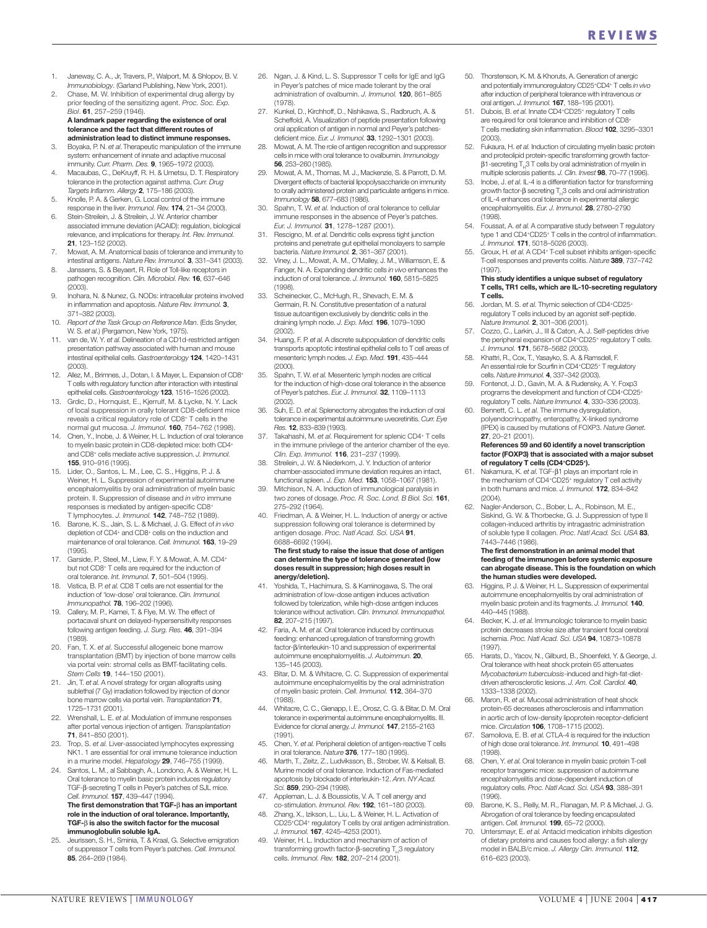- Janeway, C. A., Jr, Travers, P., Walport, M. & Shlopov, B. V. *Immunobiology*. (Garland Publishing, New York, 2001).
- 2. Chase, M. W. Inhibition of experimental drug allergy by prior feeding of the sensitizing agent. *Proc. Soc. Exp. Biol*. **61**, 257–259 (1946). **A landmark paper regarding the existence of oral**

#### **tolerance and the fact that different routes of administration lead to distinct immune responses.**

- 3. Boyaka, P. N. *et al.* Therapeutic manipulation of the immune system: enhancement of innate and adaptive mucosal immunity. *Curr. Pharm. Des.* **9**, 1965–1972 (2003).
- 4. Macaubas, C., DeKruyff, R. H. & Umetsu, D. T. Respiratory tolerance in the protection against asthma. *Curr. Drug Targets Inflamm. Allergy* **2**, 175–186 (2003).
- 5. Knolle, P. A. & Gerken, G. Local control of the immune response in the liver. *Immunol. Rev.* **174**, 21–34 (2000).
- 6. Stein-Streilein, J. & Streilein, J. W. Anterior chamber associated immune deviation (ACAID): regulation, biological relevance, and implications for therapy. *Int. Rev. Immunol.* **21**, 123–152 (2002).
- 7. Mowat, A. M. Anatomical basis of tolerance and immunity to intestinal antigens. *Nature Rev. Immunol.* **3**, 331–341 (2003).
- 8. Janssens, S. & Beyaert, R. Role of Toll-like receptors in pathogen recognition. *Clin. Microbiol. Rev.* **16**, 637–646 (2003).
- 9. Inohara, N. & Nunez, G. NODs: intracellular proteins involved in inflammation and apoptosis. *Nature Rev. Immunol.* **3**, 371–382 (2003).
- 10. *Report of the Task Group on Reference Man*. (Eds Snyder, W. S. *et al*.) (Pergamon, New York, 1975).
- van de, W. Y. *et al.* Delineation of a CD1d-restricted antigen presentation pathway associated with human and mouse intestinal epithelial cells. *Gastroenterology* **124**, 1420–1431  $(2003)$
- Allez, M., Brimnes, J., Dotan, I. & Mayer, L. Expansion of CD8+ T cells with regulatory function after interaction with intestinal epithelial cells. *Gastroenterology* **123**, 1516–1526 (2002).
- 13. Grdic, D., Hornquist, E., Kjerrulf, M. & Lycke, N. Y. Lack of local suppression in orally tolerant CD8-deficient mice reveals a critical regulatory role of CD8+ T cells in the normal gut mucosa. *J. Immunol.* **160**, 754–762 (1998).
- 14. Chen, Y., Inobe, J. & Weiner, H. L. Induction of oral tolerance to myelin basic protein in CD8-depleted mice: both CD4+ and CD8+ cells mediate active suppression. *J. Immunol.* **155**, 910–916 (1995).
- 15. Lider, O., Santos, L. M., Lee, C. S., Higgins, P. J. & Weiner, H. L. Suppression of experimental autoimmune encephalomyelitis by oral administration of myelin basic protein. II. Suppression of disease and *in vitro* immune responses is mediated by antigen-specific CD8+ T lymphocytes. *J. Immunol.* **142**, 748–752 (1989).
- 16. Barone, K. S., Jain, S. L. & Michael, J. G. Effect of *in vivo* depletion of CD4+ and CD8+ cells on the induction and maintenance of oral tolerance. *Cell. Immunol.* **163**, 19–29  $(1995)$
- 17. Garside, P., Steel, M., Liew, F. Y. & Mowat, A. M. CD4+ but not CD8+ T cells are required for the induction of oral tolerance. *Int. Immunol.* **7**, 501–504 (1995).
- 18. Vistica, B. P. *et al.* CD8 T cells are not essential for the induction of 'low-dose' oral tolerance. *Clin. Immunol. Immunopathol.* **78**, 196–202 (1996).
- 19. Callery, M. P., Kamei, T. & Flye, M. W. The effect of portacaval shunt on delayed-hypersensitivity responses following antigen feeding. *J. Surg. Res.* **46**, 391–394 (1989).
- 20. Fan, T. X. *et al.* Successful allogeneic bone marrow transplantation (BMT) by injection of bone marrow cells via portal vein: stromal cells as BMT-facilitating cells. *Stem Cells* **19**, 144–150 (2001).
- 21. Jin, T. *et al.* A novel strategy for organ allografts using sublethal (7 Gy) irradiation followed by injection of donor bone marrow cells via portal vein. *Transplantation* **71**, 1725–1731 (2001).
- 22. Wrenshall, L. E. *et al*. Modulation of immune responses after portal venous injection of antigen. *Transplantation* **71**, 841–850 (2001).
- 23. Trop, S. *et al.* Liver-associated lymphocytes expressing NK1. 1 are essential for oral immune tolerance induction in a murine model. *Hepatology* **29**, 746–755 (1999).
- 24. Santos, L. M., al Sabbagh, A., Londono, A. & Weiner, H. L. Oral tolerance to myelin basic protein induces regulatory TGF-β-secreting T cells in Peyer's patches of SJL mice. *Cell. Immunol.* **157**, 439–447 (1994). **The first demonstration that TGF-**β **has an important**

#### **role in the induction of oral tolerance. Importantly, TGF-**β **is also the switch factor for the mucosal immunoglobulin soluble IgA.**

25. Jeurissen, S. H., Sminia, T. & Kraal, G. Selective emigration of suppressor T cells from Peyer's patches. *Cell. Immunol.* **85**, 264–269 (1984).

- 26. Ngan, J. & Kind, L. S. Suppressor T cells for IgE and IgG in Peyer's patches of mice made tolerant by the oral administration of ovalbumin. *J. Immunol.* **120**, 861–865 (1978).
- 27. Kunkel, D., Kirchhoff, D., Nishikawa, S., Radbruch, A. & Scheffold, A. Visualization of peptide presentation following oral application of antigen in normal and Peyer's patchesdeficient mice. *Eur. J. Immunol.* **33**, 1292–1301 (2003).
- 28. Mowat, A. M. The role of antigen recognition and suppressor cells in mice with oral tolerance to ovalbumin. *Immunology* **56**, 253–260 (1985).
- 29. Mowat, A. M., Thomas, M. J., Mackenzie, S. & Parrott, D. M. Divergent effects of bacterial lipopolysaccharide on immunity to orally administered protein and particulate antigens in mice. *Immunology* **58**, 677–683 (1986).
- 30. Spahn, T. W. *et al.* Induction of oral tolerance to cellular immune responses in the absence of Peyer's patches. *Eur. J. Immunol.* **31**, 1278–1287 (2001).
- Rescigno, M. et al. Dendritic cells express tight junction proteins and penetrate gut epithelial monolayers to sample bacteria. *Nature Immunol.* **2**, 361–367 (2001).
- 32. Viney, J. L., Mowat, A. M., O'Malley, J. M., Williamson, E. & Fanger, N. A. Expanding dendritic cells *in vivo* enhances the induction of oral tolerance. *J. Immunol.* **160**, 5815–5825 (1998).
- 33. Scheinecker, C., McHugh, R., Shevach, E. M. & Germain, R. N. Constitutive presentation of a natural tissue autoantigen exclusively by dendritic cells in the draining lymph node. *J. Exp. Med.* **196**, 1079–1090 (2002).
- 34. Huang, F. P. *et al.* A discrete subpopulation of dendritic cells transports apoptotic intestinal epithelial cells to T cell areas of mesenteric lymph nodes. *J. Exp. Med.* **191**, 435–444 (2000).
- 35. Spahn, T. W. *et al.* Mesenteric lymph nodes are critical for the induction of high-dose oral tolerance in the absence of Peyer's patches. *Eur. J. Immunol.* **32**, 1109–1113 (2002).
- 36. Suh, E. D. *et al.*Splenectomy abrogates the induction of oral tolerance in experimental autoimmune uveoretinitis. *Curr. Eye Res.* **12**, 833–839 (1993).
- 37. Takahashi, M. *et al.* Requirement for splenic CD4+ T cells in the immune privilege of the anterior chamber of the eye. *Clin. Exp. Immunol.* **116**, 231–237 (1999).
- 38. Streilein, J. W. & Niederkorn, J. Y. Induction of anterior chamber-associated immune deviation requires an intact, functional spleen. *J. Exp. Med.* **153**, 1058–1067 (1981).
- 39. Mitchison, N. A. Induction of immunological paralysis in two zones of dosage. *Proc. R. Soc. Lond. B Biol. Sci.* **161**, 275–292 (1964).
- 40. Friedman, A. & Weiner, H. L. Induction of anergy or active suppression following oral tolerance is determined by antigen dosage. *Proc. Natl Acad. Sci. USA* **91**, 6688–6692 (1994).

**The first study to raise the issue that dose of antigen can determine the type of tolerance generated (low doses result in suppression; high doses result in anergy/deletion).**

- 41. Yoshida, T., Hachimura, S. & Kaminogawa, S. The oral administration of low-dose antigen induces activation followed by tolerization, while high-dose antigen induces tolerance without activation. *Clin. Immunol. Immunopathol.* **82**, 207–215 (1997).
- 42. Faria, A. M. *et al.* Oral tolerance induced by continuous feeding: enhanced upregulation of transforming growth factor-β/interleukin-10 and suppression of experimental autoimmune encephalomyelitis. *J. Autoimmun.* **20**, 135–145 (2003).
- 43. Bitar, D. M. & Whitacre, C. C. Suppression of experimental autoimmune encephalomyelitis by the oral administration of myelin basic protein. *Cell. Immunol.* **112**, 364–370 (1988).
- 44. Whitacre, C. C., Gienapp, I. E., Orosz, C. G. & Bitar, D. M. Oral tolerance in experimental autoimmune encephalomyelitis. III. Evidence for clonal anergy. *J. Immunol.* **147**, 2155–2163 (1991).
- 45. Chen, Y. *et al.* Peripheral deletion of antigen-reactive T cells in oral tolerance. *Nature* **376**, 177–180 (1995).
- 46. Marth, T., Zeitz, Z., Ludviksson, B., Strober, W. & Kelsall, B. Murine model of oral tolerance. Induction of Fas-mediated apoptosis by blockade of interleukin-12. *Ann. NY Acad. Sci.* **859**, 290–294 (1998).
- 47. Appleman, L. J. & Boussiotis, V. A. T cell anergy and co-stimulation. *Immunol. Rev.* **192**, 161–180 (2003).
- Zhang, X., Izikson, L., Liu, L. & Weiner, H. L. Activation of CD25+CD4+ regulatory T cells by oral antigen administration. *J. Immunol.* **167**, 4245–4253 (2001).
- 49. Weiner, H. L. Induction and mechanism of action of transforming growth factor-β-secreting  $T_H$ 3 regulatory cells. *Immunol. Rev.* **182**, 207–214 (2001).
- 50. Thorstenson, K. M. & Khoruts, A. Generation of anergic and potentially immunoregulatory CD25+CD4+ T cells *in vivo* after induction of peripheral tolerance with intravenous or oral antigen. *J. Immunol.* **167**, 188–195 (2001).
- 51. Dubois, B. *et al.* Innate CD4+CD25+ regulatory T cells are required for oral tolerance and inhibition of CD8+ T cells mediating skin inflammation. *Blood* **102**, 3295–3301 (2003).
- 52. Fukaura, H. *et al.* Induction of circulating myelin basic protein and proteolipid protein-specific transforming growth factor $β1$ -secreting  $T<sub>u</sub>3 T$  cells by oral administration of myelin in multiple sclerosis patients. *J. Clin. Invest* **98**, 70–77 (1996).
- 53. Inobe, J. *et al.* IL-4 is a differentiation factor for transforming growth factor-β secreting  $T_H$ 3 cells and oral administration of IL-4 enhances oral tolerance in experimental allergic encephalomyelitis. *Eur. J. Immunol.* **28**, 2780–2790 (1998).
- 54. Foussat, A. *et al.* A comparative study between T regulatory type 1 and CD4+CD25+ T cells in the control of inflammation. *J. Immunol.* **171**, 5018–5026 (2003).
- 55. Groux, H*. et al.* A CD4+ T-cell subset inhibits antigen-specific T-cell responses and prevents colitis. *Nature* **389**, 737–742 (1997).

#### **This study identifies a unique subset of regulatory T cells, TR1 cells, which are IL-10-secreting regulatory T cells.**

- 56. Jordan, M. S. *et al.* Thymic selection of CD4+CD25+ regulatory T cells induced by an agonist self-peptide. *Nature Immunol.* **2**, 301–306 (2001).
- 57. Cozzo, C., Larkin, J., III & Caton, A. J. Self-peptides drive the peripheral expansion of CD4+CD25+ regulatory T cells. *J. Immunol.* **171**, 5678–5682 (2003).
- 58. Khattri, R., Cox, T., Yasayko, S. A. & Ramsdell, F. An essential role for Scurfin in CD4+CD25+ T regulatory cells. *Nature Immunol.* **4**, 337–342 (2003).
- Fontenot, J. D., Gavin, M. A. & Rudensky, A. Y. Foxp3 programs the development and function of CD4+CD25+ regulatory T cells. *Nature Immunol.* **4**, 330–336 (2003).
- 60. Bennett, C. L. *et al.* The immune dysregulation, polyendocrinopathy, enteropathy, X-linked syndrome (IPEX) is caused by mutations of FOXP3. *Nature Genet.* **27**, 20–21 (2001).

#### **References 59 and 60 identify a novel transcription factor (FOXP3) that is associated with a major subset of regulatory T cells (CD4+CD25+).**

- 61. Nakamura, K. *et al.* TGF-β1 plays an important role in the mechanism of CD4+CD25+ regulatory T cell activity in both humans and mice. *J. Immunol.* **172**, 834–842 (2004).
- 62. Nagler-Anderson, C., Bober, L. A., Robinson, M. E., Siskind, G. W. & Thorbecke, G. J. Suppression of type II collagen-induced arthritis by intragastric administration of soluble type II collagen. *Proc. Natl Acad. Sci. USA* **83**, 7443–7446 (1986).

#### **The first demonstration in an animal model that feeding of the immunogen before systemic exposure can abrogate disease. This is the foundation on which the human studies were developed.**

- 63. Higgins, P. J. & Weiner, H. L. Suppression of experimental autoimmune encephalomyelitis by oral administration of myelin basic protein and its fragments. *J. Immunol.* **140**, 440–445 (1988).
- 64. Becker, K. J. *et al.* Immunologic tolerance to myelin basic protein decreases stroke size after transient focal cerebral ischemia. *Proc. Natl Acad. Sci. USA* **94**, 10873–10878 (1997).
- 65. Harats, D., Yacov, N., Gilburd, B., Shoenfeld, Y. & George, J. Oral tolerance with heat shock protein 65 attenuates *Mycobacterium tuberculosis*-induced and high-fat-dietdriven atherosclerotic lesions. *J. Am. Coll. Cardiol.* **40**, 1333–1338 (2002).
- 66. Maron, R. *et al.* Mucosal administration of heat shock protein-65 decreases atherosclerosis and inflammation in aortic arch of low-density lipoprotein receptor-deficient mice. *Circulation* **106**, 1708–1715 (2002).
- 67. Samoilova, E. B. *et al.* CTLA-4 is required for the induction of high dose oral tolerance. *Int. Immunol.* **10**, 491–498 (1998).
- 68. Chen, Y. *et al.* Oral tolerance in myelin basic protein T-cell receptor transgenic mice: suppression of autoimmune encephalomyelitis and dose-dependent induction of regulatory cells. *Proc. Natl Acad. Sci. USA* **93**, 388–391 (1996).
- 69. Barone, K. S., Reilly, M. R., Flanagan, M. P. & Michael, J. G. Abrogation of oral tolerance by feeding encapsulated antigen. *Cell. Immunol.* **199**, 65–72 (2000).
- 70. Untersmayr, E. *et al.* Antacid medication inhibits digestion of dietary proteins and causes food allergy: a fish allergy model in BALB/c mice. *J. Allergy Clin. Immunol.* **112**, 616–623 (2003).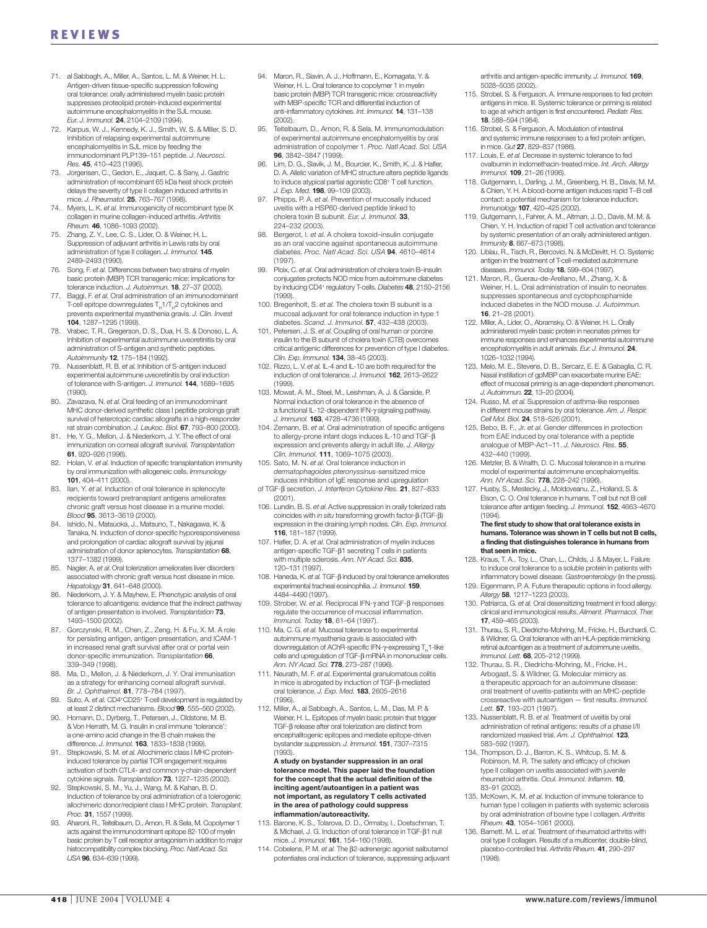- 71. al Sabbagh, A., Miller, A., Santos, L. M. & Weiner, H. L. Antigen-driven tissue-specific suppression following oral tolerance: orally administered myelin basic protein suppresses proteolipid protein-induced experimental autoimmune encephalomyelitis in the SJL mouse. *Eur. J. Immunol.* **24**, 2104–2109 (1994).
- 72. Karpus, W. J., Kennedy, K. J., Smith, W. S. & Miller, S. D. Inhibition of relapsing experimental autoimmune encephalomyelitis in SJL mice by feeding the immunodominant PLP139–151 peptide. *J. Neurosci. Res.* **45**, 410–423 (1996).
- 73. Jorgensen, C., Gedon, E., Jaquet, C. & Sany, J. Gastric administration of recombinant 65 kDa heat shock protein delays the severity of type II collagen induced arthritis in mice. *J. Rheumatol.* **25**, 763–767 (1998).
- 74. Myers, L. K. *et al.* Immunogenicity of recombinant type IX collagen in murine collagen-induced arthritis. *Arthritis Rheum.* **46**, 1086–1093 (2002).
- 75. Zhang, Z. Y., Lee, C. S., Lider, O. & Weiner, H. L. Suppression of adjuvant arthritis in Lewis rats by oral administration of type II collagen. *J. Immunol.* **145**, 2489–2493 (1990).
- 76. Song, F. *et al.* Differences between two strains of myelin basic protein (MBP) TCR transgenic mice: implications for tolerance induction. *J. Autoimmun.* **18**, 27–37 (2002).
- 77. Baggi, F. *et al.* Oral administration of an immunodominant T-cell epitope downregulates  $T_H1/T_H2$  cytokines and prevents experimental myasthenia gravis. *J. Clin. Invest* **104**, 1287–1295 (1999).
- 78. Vrabec, T. R., Gregerson, D. S., Dua, H. S. & Donoso, L. A. Inhibition of experimental autoimmune uveoretinitis by oral administration of S-antigen and synthetic peptides. *Autoimmunity* **12**, 175–184 (1992).
- 79. Nussenblatt, R. B. *et al.* Inhibition of S-antigen induced experimental autoimmune uveoretinitis by oral induction of tolerance with S-antigen. *J. Immunol.* **144**, 1689–1695 (1990).
- 80. Zavazava, N. *et al.* Oral feeding of an immunodominant MHC donor-derived synthetic class I peptide prolongs graft survival of heterotopic cardiac allografts in a high-responder rat strain combination. *J. Leukoc. Biol.* **67**, 793–800 (2000).
- 81. He, Y. G., Mellon, J. & Niederkorn, J. Y. The effect of oral immunization on corneal allograft survival. *Transplantation* **61**, 920–926 (1996).
- 82. Holan, V*. et al.* Induction of specific transplantation immunity by oral immunization with allogeneic cells. *Immunology* **101**, 404–411 (2000).
- 83. Ilan, Y. *et al.* Induction of oral tolerance in splenocyte recipients toward pretransplant antigens ameliorates chronic graft versus host disease in a murine model. *Blood* **95**, 3613–3619 (2000).
- 84. Ishido, N., Matsuoka, J., Matsuno, T., Nakagawa, K. & Tanaka, N. Induction of donor-specific hyporesponsiveness and prolongation of cardiac allograft survival by jejunal administration of donor splenocytes. *Transplantation* **68**, 1377–1382 (1999).
- 85. Nagler, A. *et al.* Oral tolerization ameliorates liver disorders associated with chronic graft versus host disease in mice. *Hepatology* **31**, 641–648 (2000).
- 86. Niederkorn, J. Y. & Mayhew, E. Phenotypic analysis of oral tolerance to alloantigens: evidence that the indirect pathway of antigen presentation is involved. *Transplantation* **73**, 1493–1500 (2002).
- 87. Gorczynski, R. M., Chen, Z., Zeng, H. & Fu, X. M. A role for persisting antigen, antigen presentation, and ICAM-1 in increased renal graft survival after oral or portal vein donor-specific immunization. *Transplantation* **66**, 339–349 (1998).
- 88. Ma, D., Mellon, J. & Niederkorn, J. Y. Oral immunisation as a strategy for enhancing corneal allograft survival. *Br. J. Ophthalmol.* **81**, 778–784 (1997).
- 89. Suto, A. et al. CD4<sup>+</sup>CD25<sup>+</sup> T-cell development is regulated by at least 2 distinct mechanisms. *Blood* **99**, 555–560 (2002).
- 90. Homann, D., Dyrberg, T., Petersen, J., Oldstone, M. B. & Von Herrath, M. G. Insulin in oral immune 'tolerance': a one-amino acid change in the B chain makes the difference. *J. Immunol.* **163**, 1833–1838 (1999).
- 91. Stepkowski, S. M. *et al.* Allochimeric class I MHC proteininduced tolerance by partial TCR engagement requires activation of both CTL4- and common γ-chain-dependent cytokine signals. *Transplantation* **73**, 1227–1235 (2002).
- 92. Stepkowski, S. M., Yu, J., Wang, M. & Kahan, B. D. Induction of tolerance by oral administration of a tolerogenic allochimeric donor/recipient class I MHC protein. *Transplant. Proc.* **31**, 1557 (1999).
- 93. Aharoni, R., Teitelbaum, D., Arnon, R. & Sela, M. Copolymer 1 acts against the immunodominant epitope 82-100 of myelin basic protein by T cell receptor antagonism in addition to major histocompatibility complex blocking. *Proc. Natl Acad. Sci. USA* **96**, 634–639 (1999).
- 94. Maron, R., Slavin, A. J., Hoffmann, E., Komagata, Y. & Weiner, H. L. Oral tolerance to copolymer 1 in myelin basic protein (MBP) TCR transgenic mice: crossreactivity with MBP-specific TCR and differential induction of anti-inflammatory cytokines. *Int. Immunol.* **14**, 131–138 (2002).
- 95. Teitelbaum, D., Arnon, R. & Sela, M. Immunomodulation of experimental autoimmune encephalomyelitis by oral administration of copolymer 1. *Proc. Natl Acad. Sci. USA* **96**, 3842–3847 (1999).
- 96. Lim, D. G., Slavik, J. M., Bourcier, K., Smith, K. J. & Hafler, D. A. Allelic variation of MHC structure alters peptide ligands to induce atypical partial agonistic CD8+ T cell function. *J. Exp. Med.* **198**, 99–109 (2003).
- 97. Phipps, P. A. *et al.* Prevention of mucosally induced uveitis with a HSP60-derived peptide linked to cholera toxin B subunit. *Eur. J. Immunol.* **33**, 224–232 (2003).
- Bergerot, I. et al. A cholera toxoid-insulin conjugate as an oral vaccine against spontaneous autoimmune diabetes. *Proc. Natl Acad. Sci. USA* **94**, 4610–4614  $(1997)$
- 99. Ploix, C. *et al.* Oral administration of cholera toxin B-insulin conjugates protects NOD mice from autoimmune diabetes by inducing CD4+ regulatory T-cells. *Diabetes* **48**, 2150–2156 (1999).
- 100. Bregenholt, S. *et al.* The cholera toxin B subunit is a mucosal adjuvant for oral tolerance induction in type 1 diabetes. *Scand. J. Immunol.* **57**, 432–438 (2003).
- 101. Petersen, J. S. *et al.* Coupling of oral human or porcine insulin to the B subunit of cholera toxin (CTB) overcomes critical antigenic differences for prevention of type I diabetes. *Clin. Exp. Immunol.* **134**, 38–45 (2003).
- 102. Rizzo, L. V. *et al.* IL-4 and IL-10 are both required for the induction of oral tolerance. *J. Immunol.* **162**, 2613–2622 (1999).
- 103. Mowat, A. M., Steel, M., Leishman, A. J. & Garside, P. Normal induction of oral tolerance in the absence of a functional IL-12-dependent IFN-γ signaling pathway. *J. Immunol.* **163**, 4728–4736 (1999).
- 104. Zemann, B. *et al.* Oral administration of specific antigens to allergy-prone infant dogs induces IL-10 and TGF-β expression and prevents allergy in adult life. *J. Allergy Clin. Immunol.* **111**, 1069–1075 (2003).
- 105. Sato, M. N. *et al.* Oral tolerance induction in *dermatophagoides pteronyssinus*-sensitized mice induces inhibition of IgE response and upregulation
- of TGF-β secretion. *J. Interferon Cytokine Res.* **21**, 827–833  $(2001)$ .
- 106. Lundin, B. S. *et al.* Active suppression in orally tolerized rats coincides with *in situ* transforming growth factor-β (TGF-β) expression in the draining lymph nodes. *Clin. Exp. Immunol.* **116**, 181–187 (1999).
- 107. Hafler, D. A. *et al.* Oral administration of myelin induces antigen-specific TGF-β1 secreting T cells in patients with multiple sclerosis. *Ann. NY Acad. Sci.* **835**, 120–131 (1997).
- 108. Haneda, K. *et al.* TGF-β induced by oral tolerance ameliorates experimental tracheal eosinophilia. *J. Immunol.* **159**, 4484–4490 (1997).
- 109. Strober, W. *et al.* Reciprocal IFN-γ and TGF-β responses regulate the occurrence of mucosal inflammation. *Immunol. Today* **18**, 61–64 (1997).
- 110. Ma, C. G. *et al.* Mucosal tolerance to experimental autoimmune myasthenia gravis is associated with<br>downregulation of AChR-specific IFN-γ-expressing T<sub>H</sub>1-like cells and upregulation of TGF-β mRNA in mononuclear cells. *Ann. NY Acad. Sci.* **778**, 273–287 (1996).
- 111. Neurath, M. F. *et al.* Experimental granulomatous colitis in mice is abrogated by induction of TGF-β-mediated oral tolerance. *J. Exp. Med.* **183**, 2605–2616 (1996).
- 112. Miller, A., al Sabbagh, A., Santos, L. M., Das, M. P. & Weiner, H. L. Epitopes of myelin basic protein that trigger TGF-β release after oral tolerization are distinct from encephalitogenic epitopes and mediate epitope-driven bystander suppression. *J. Immunol.* **151**, 7307–7315 (1993).

**A study on bystander suppression in an oral tolerance model. This paper laid the foundation for the concept that the actual definition of the inciting agent/autoantigen in a patient was not important, as regulatory T cells activated in the area of pathology could suppress inflammation/autoreactivity.**

- 113. Barone, K. S., Tolarova, D. D., Ormsby, I., Doetschman, T. & Michael, J. G. Induction of oral tolerance in TGF-β1 null mice. *J. Immunol.* **161**, 154–160 (1998).
- 114. Cobelens, P. M. *et al.* The β2-adrenergic agonist salbutamol potentiates oral induction of tolerance, suppressing adjuvant

arthritis and antigen-specific immunity. *J. Immunol.* **169**, 5028–5035 (2002).

- 115. Strobel, S. & Ferguson, A. Immune responses to fed protein antigens in mice. III. Systemic tolerance or priming is related to age at which antigen is first encountered. *Pediatr. Res.*  **18**, 588–594 (1984).
- 116. Strobel, S. & Ferguson, A. Modulation of intestinal and systemic immune responses to a fed protein antigen, in mice. *Gut* **27**, 829–837 (1986).
- 117. Louis, E. *et al.* Decrease in systemic tolerance to fed ovalbumin in indomethacin-treated mice. *Int. Arch. Allergy Immunol.* **109**, 21–26 (1996).
- 118. Gutgemann, I., Darling, J. M., Greenberg, H. B., Davis, M. M. & Chien, Y. H. A blood-borne antigen induces rapid T–B cell contact: a potential mechanism for tolerance induction. *Immunology* **107**, 420–425 (2002).
- 119. Gutgemann, I., Fahrer, A. M., Altman, J. D., Davis, M. M. & Chien, Y. H. Induction of rapid T cell activation and tolerance by systemic presentation of an orally administered antigen. *Immunity* **8**, 667–673 (1998).
- 120. Liblau, R., Tisch, R., Bercovici, N. & McDevitt, H. O. Systemic antigen in the treatment of T-cell-mediated autoimmune diseases. *Immunol. Today* **18**, 599–604 (1997).
- 121. Maron, R., Guerau-de-Arellano, M., Zhang, X. & Weiner, H. L. Oral administration of insulin to neonates suppresses spontaneous and cyclophosphamide induced diabetes in the NOD mouse. *J. Autoimmun.*  **16**, 21–28 (2001).
- 122. Miller, A., Lider, O., Abramsky, O. & Weiner, H. L. Orally administered myelin basic protein in neonates primes for immune responses and enhances experimental autoimmune encephalomyelitis in adult animals. *Eur. J. Immunol.* **24**, 1026–1032 (1994).
- 123. Melo, M. E., Stevens, D. B., Sercarz, E. E. & Gabaglia, C. R. Nasal instillation of gpMBP can exacerbate murine EAE: effect of mucosal priming is an age-dependent phenomenon. *J. Autoimmun.* **22**, 13–20 (2004).
- 124. Russo, M*. et al.* Suppression of asthma-like responses in different mouse strains by oral tolerance. *Am. J. Respir. Cell Mol. Biol.* **24**, 518–526 (2001).
- 125. Bebo, B. F., Jr. *et al.* Gender differences in protection from EAE induced by oral tolerance with a peptide analogue of MBP-Ac1–11. *J. Neurosci. Res.* **55**, 432–440 (1999).
- 126. Metzler, B. & Wraith, D. C. Mucosal tolerance in a murine model of experimental autoimmune encephalomyelitis. *Ann. NY Acad. Sci.* **778**, 228–242 (1996).
- 127. Husby, S., Mestecky, J., Moldoveanu, Z., Holland, S. & Elson, C. O. Oral tolerance in humans. T cell but not B cell tolerance after antigen feeding. *J. Immunol.* **152**, 4663–4670 (1994).

#### **The first study to show that oral tolerance exists in humans. Tolerance was shown in T cells but not B cells, a finding that distinguishes tolerance in humans from that seen in mice.**

- 128. Kraus, T. A., Toy, L., Chan, L., Childs, J. & Mayer, L. Failure to induce oral tolerance to a soluble protein in patients with inflammatory bowel disease. *Gastroenterology* (in the press).
- 129. Eigenmann, P. A. Future therapeutic options in food allergy. *Allergy* **58**, 1217–1223 (2003).
- 130. Patriarca, G*. et al.* Oral desensitizing treatment in food allergy: clinical and immunological results. *Aliment. Pharmacol. Ther.* **17**, 459–465 (2003).
- 131. Thurau, S. R., Diedrichs-Mohring, M., Fricke, H., Burchardi, C. & Wildner, G. Oral tolerance with an HLA-peptide mimicking retinal autoantigen as a treatment of autoimmune uveitis. *Immunol. Lett.* **68**, 205–212 (1999).
- 132. Thurau, S. R., Diedrichs-Mohring, M., Fricke, H., Arbogast, S. & Wildner, G. Molecular mimicry as a therapeutic approach for an autoimmune disease: oral treatment of uveitis-patients with an MHC-peptide crossreactive with autoantigen — first results. *Immunol. Lett.* **57**, 193–201 (1997).
- 133. Nussenblatt, R. B. *et al.* Treatment of uveitis by oral administration of retinal antigens: results of a phase I/II randomized masked trial. *Am. J. Ophthalmol.* **123**, 583–592 (1997).
- 134. Thompson, D. J., Barron, K. S., Whitcup, S. M. & Robinson, M. R. The safety and efficacy of chicken type II collagen on uveitis associated with juvenile rheumatoid arthritis. *Ocul. Immunol. Inflamm.* **10**, 83–91 (2002).
- 135. McKown, K. M. *et al.* Induction of immune tolerance to human type I collagen in patients with systemic sclerosis by oral administration of bovine type I collagen. *Arthritis Rheum.* **43**, 1054–1061 (2000).
- 136. Barnett, M. L. *et al.* Treatment of rheumatoid arthritis with oral type II collagen. Results of a multicenter, double-blind, placebo-controlled trial. *Arthritis Rheum.* **41**, 290–297 (1998).